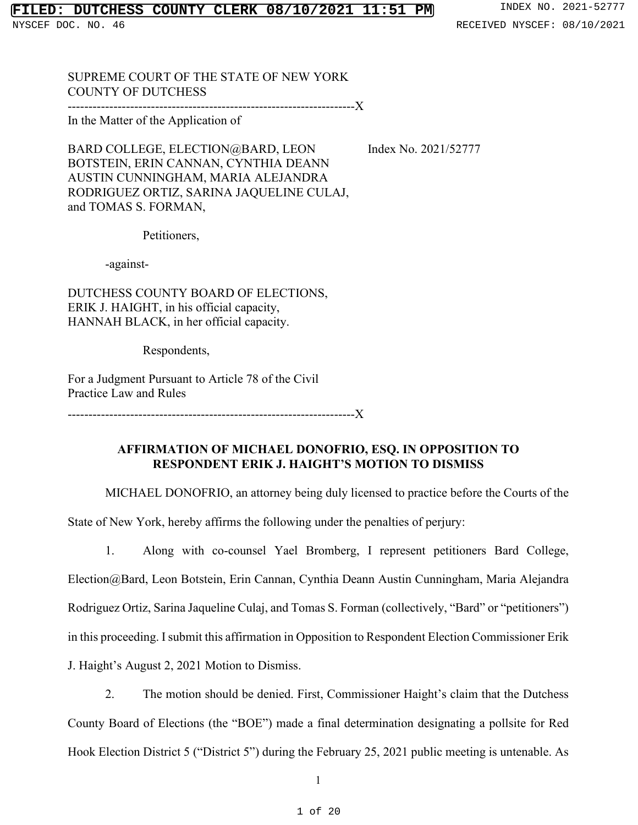### **FILED: DUTCHESS COUNTY CLERK 08/10/2021 11:51 PM** INDEX NO. 2021-52777

SUPREME COURT OF THE STATE OF NEW YORK COUNTY OF DUTCHESS

---------------------------------------------------------------------X

In the Matter of the Application of

BARD COLLEGE, ELECTION@BARD, LEON Index No. 2021/52777 BOTSTEIN, ERIN CANNAN, CYNTHIA DEANN AUSTIN CUNNINGHAM, MARIA ALEJANDRA RODRIGUEZ ORTIZ, SARINA JAQUELINE CULAJ, and TOMAS S. FORMAN,

Petitioners,

-against-

DUTCHESS COUNTY BOARD OF ELECTIONS, ERIK J. HAIGHT, in his official capacity, HANNAH BLACK, in her official capacity.

Respondents,

For a Judgment Pursuant to Article 78 of the Civil Practice Law and Rules

---------------------------------------------------------------------X

## **AFFIRMATION OF MICHAEL DONOFRIO, ESQ. IN OPPOSITION TO RESPONDENT ERIK J. HAIGHT'S MOTION TO DISMISS**

MICHAEL DONOFRIO, an attorney being duly licensed to practice before the Courts of the

State of New York, hereby affirms the following under the penalties of perjury:

1. Along with co-counsel Yael Bromberg, I represent petitioners Bard College, Election@Bard, Leon Botstein, Erin Cannan, Cynthia Deann Austin Cunningham, Maria Alejandra Rodriguez Ortiz, Sarina Jaqueline Culaj, and Tomas S. Forman (collectively, "Bard" or "petitioners") in this proceeding. I submit this affirmation in Opposition to Respondent Election Commissioner Erik J. Haight's August 2, 2021 Motion to Dismiss.

2. The motion should be denied. First, Commissioner Haight's claim that the Dutchess County Board of Elections (the "BOE") made a final determination designating a pollsite for Red Hook Election District 5 ("District 5") during the February 25, 2021 public meeting is untenable. As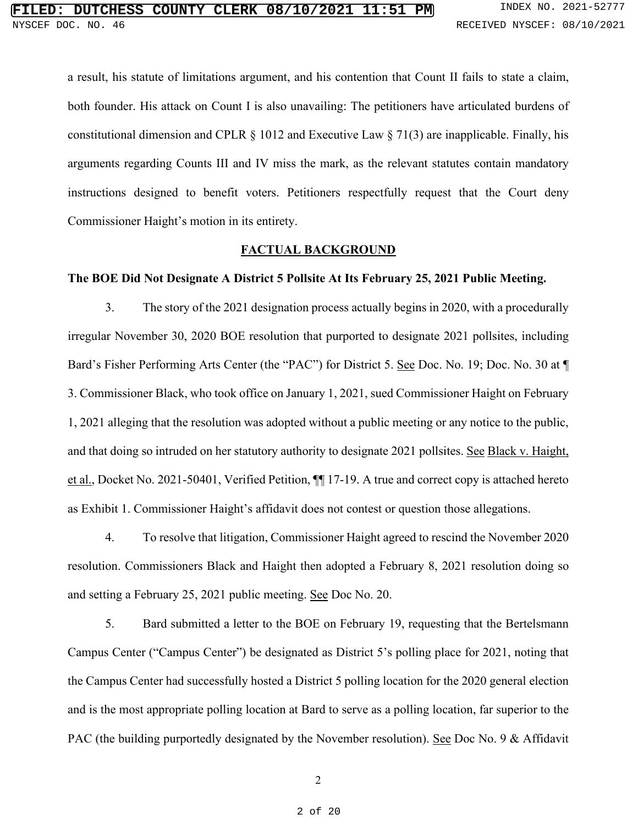a result, his statute of limitations argument, and his contention that Count II fails to state a claim, both founder. His attack on Count I is also unavailing: The petitioners have articulated burdens of constitutional dimension and CPLR  $\S$  1012 and Executive Law  $\S$  71(3) are inapplicable. Finally, his arguments regarding Counts III and IV miss the mark, as the relevant statutes contain mandatory instructions designed to benefit voters. Petitioners respectfully request that the Court deny Commissioner Haight's motion in its entirety.

### **FACTUAL BACKGROUND**

#### **The BOE Did Not Designate A District 5 Pollsite At Its February 25, 2021 Public Meeting.**

3. The story of the 2021 designation process actually begins in 2020, with a procedurally irregular November 30, 2020 BOE resolution that purported to designate 2021 pollsites, including Bard's Fisher Performing Arts Center (the "PAC") for District 5. See Doc. No. 19; Doc. No. 30 at ¶ 3. Commissioner Black, who took office on January 1, 2021, sued Commissioner Haight on February 1, 2021 alleging that the resolution was adopted without a public meeting or any notice to the public, and that doing so intruded on her statutory authority to designate 2021 pollsites. See Black v. Haight, et al., Docket No. 2021-50401, Verified Petition, ¶¶ 17-19. A true and correct copy is attached hereto as Exhibit 1. Commissioner Haight's affidavit does not contest or question those allegations.

4. To resolve that litigation, Commissioner Haight agreed to rescind the November 2020 resolution. Commissioners Black and Haight then adopted a February 8, 2021 resolution doing so and setting a February 25, 2021 public meeting. See Doc No. 20.

5. Bard submitted a letter to the BOE on February 19, requesting that the Bertelsmann Campus Center ("Campus Center") be designated as District 5's polling place for 2021, noting that the Campus Center had successfully hosted a District 5 polling location for the 2020 general election and is the most appropriate polling location at Bard to serve as a polling location, far superior to the PAC (the building purportedly designated by the November resolution). See Doc No. 9 & Affidavit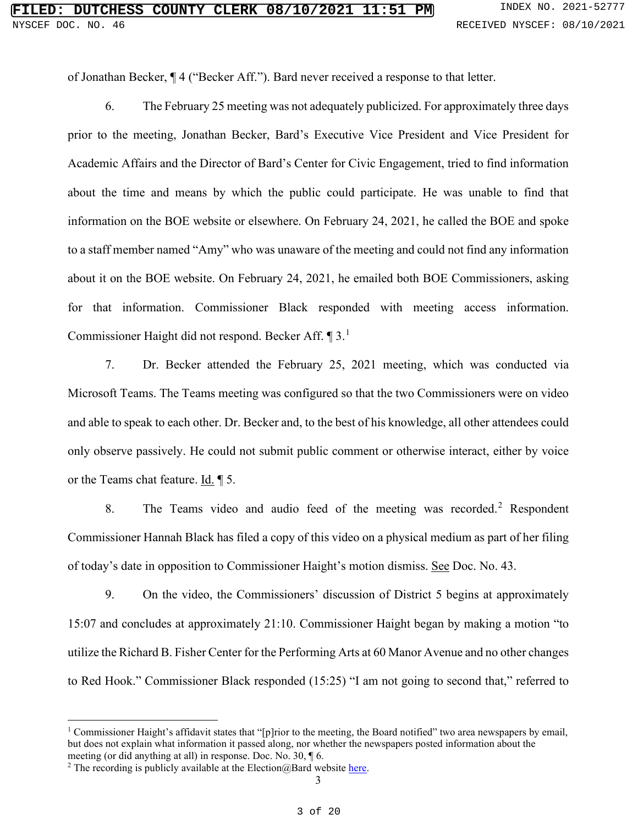of Jonathan Becker, ¶ 4 ("Becker Aff."). Bard never received a response to that letter.

6. The February 25 meeting was not adequately publicized. For approximately three days prior to the meeting, Jonathan Becker, Bard's Executive Vice President and Vice President for Academic Affairs and the Director of Bard's Center for Civic Engagement, tried to find information about the time and means by which the public could participate. He was unable to find that information on the BOE website or elsewhere. On February 24, 2021, he called the BOE and spoke to a staff member named "Amy" who was unaware of the meeting and could not find any information about it on the BOE website. On February 24, 2021, he emailed both BOE Commissioners, asking for that information. Commissioner Black responded with meeting access information. Commissioner Haight did not respond. Becker Aff. ¶ 3.<sup>[1](#page-2-0)</sup>

7. Dr. Becker attended the February 25, 2021 meeting, which was conducted via Microsoft Teams. The Teams meeting was configured so that the two Commissioners were on video and able to speak to each other. Dr. Becker and, to the best of his knowledge, all other attendees could only observe passively. He could not submit public comment or otherwise interact, either by voice or the Teams chat feature. Id. ¶ 5.

8. The Teams video and audio feed of the meeting was recorded.<sup>[2](#page-2-1)</sup> Respondent Commissioner Hannah Black has filed a copy of this video on a physical medium as part of her filing of today's date in opposition to Commissioner Haight's motion dismiss. See Doc. No. 43.

9. On the video, the Commissioners' discussion of District 5 begins at approximately 15:07 and concludes at approximately 21:10. Commissioner Haight began by making a motion "to utilize the Richard B. Fisher Center for the Performing Arts at 60 Manor Avenue and no other changes to Red Hook." Commissioner Black responded (15:25) "I am not going to second that," referred to

<span id="page-2-0"></span><sup>&</sup>lt;sup>1</sup> Commissioner Haight's affidavit states that "[p]rior to the meeting, the Board notified" two area newspapers by email, but does not explain what information it passed along, nor whether the newspapers posted information about the meeting (or did anything at all) in response. Doc. No. 30, ¶ 6.

<span id="page-2-1"></span><sup>&</sup>lt;sup>2</sup> The recording is publicly available at the Election  $@$  Bard websit[e here.](https://www.youtube.com/watch?app=desktop&v=v8lZDH1Yg1k&t=2s)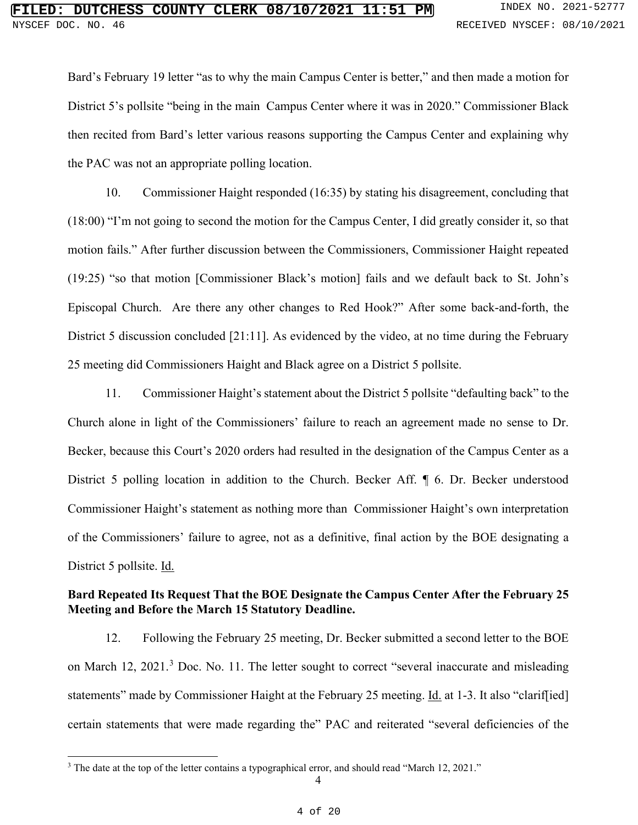Bard's February 19 letter "as to why the main Campus Center is better," and then made a motion for District 5's pollsite "being in the main Campus Center where it was in 2020." Commissioner Black then recited from Bard's letter various reasons supporting the Campus Center and explaining why the PAC was not an appropriate polling location.

10. Commissioner Haight responded (16:35) by stating his disagreement, concluding that (18:00) "I'm not going to second the motion for the Campus Center, I did greatly consider it, so that motion fails." After further discussion between the Commissioners, Commissioner Haight repeated (19:25) "so that motion [Commissioner Black's motion] fails and we default back to St. John's Episcopal Church. Are there any other changes to Red Hook?" After some back-and-forth, the District 5 discussion concluded [21:11]. As evidenced by the video, at no time during the February 25 meeting did Commissioners Haight and Black agree on a District 5 pollsite.

11. Commissioner Haight's statement about the District 5 pollsite "defaulting back" to the Church alone in light of the Commissioners' failure to reach an agreement made no sense to Dr. Becker, because this Court's 2020 orders had resulted in the designation of the Campus Center as a District 5 polling location in addition to the Church. Becker Aff. ¶ 6. Dr. Becker understood Commissioner Haight's statement as nothing more than Commissioner Haight's own interpretation of the Commissioners' failure to agree, not as a definitive, final action by the BOE designating a District 5 pollsite. Id.

## **Bard Repeated Its Request That the BOE Designate the Campus Center After the February 25 Meeting and Before the March 15 Statutory Deadline.**

12. Following the February 25 meeting, Dr. Becker submitted a second letter to the BOE on March 12, 2021.<sup>[3](#page-3-0)</sup> Doc. No. 11. The letter sought to correct "several inaccurate and misleading statements" made by Commissioner Haight at the February 25 meeting. Id. at 1-3. It also "clarif[ied] certain statements that were made regarding the" PAC and reiterated "several deficiencies of the

<span id="page-3-0"></span> $3$  The date at the top of the letter contains a typographical error, and should read "March 12, 2021."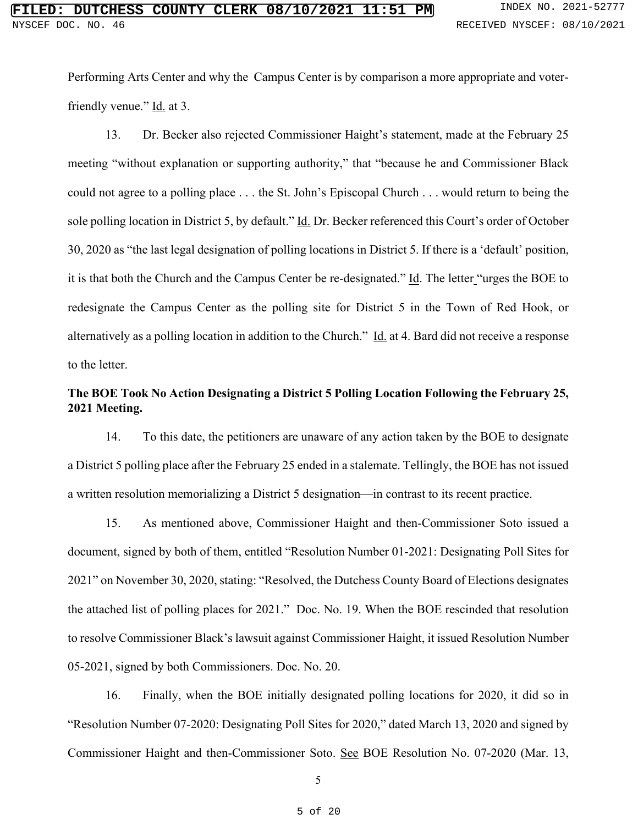Performing Arts Center and why the Campus Center is by comparison a more appropriate and voterfriendly venue."  $\underline{Id}$  at 3.

13. Dr. Becker also rejected Commissioner Haight's statement, made at the February 25 meeting "without explanation or supporting authority," that "because he and Commissioner Black could not agree to a polling place . . . the St. John's Episcopal Church . . . would return to being the sole polling location in District 5, by default." Id. Dr. Becker referenced this Court's order of October 30, 2020 as "the last legal designation of polling locations in District 5. If there is a 'default' position, it is that both the Church and the Campus Center be re-designated." Id. The letter "urges the BOE to redesignate the Campus Center as the polling site for District 5 in the Town of Red Hook, or alternatively as a polling location in addition to the Church." Id. at 4. Bard did not receive a response to the letter.

## **The BOE Took No Action Designating a District 5 Polling Location Following the February 25, 2021 Meeting.**

14. To this date, the petitioners are unaware of any action taken by the BOE to designate a District 5 polling place after the February 25 ended in a stalemate. Tellingly, the BOE has not issued a written resolution memorializing a District 5 designation—in contrast to its recent practice.

15. As mentioned above, Commissioner Haight and then-Commissioner Soto issued a document, signed by both of them, entitled "Resolution Number 01-2021: Designating Poll Sites for 2021" on November 30, 2020, stating: "Resolved, the Dutchess County Board of Elections designates the attached list of polling places for 2021." Doc. No. 19. When the BOE rescinded that resolution to resolve Commissioner Black's lawsuit against Commissioner Haight, it issued Resolution Number 05-2021, signed by both Commissioners. Doc. No. 20.

16. Finally, when the BOE initially designated polling locations for 2020, it did so in "Resolution Number 07-2020: Designating Poll Sites for 2020," dated March 13, 2020 and signed by Commissioner Haight and then-Commissioner Soto. See BOE Resolution No. 07-2020 (Mar. 13,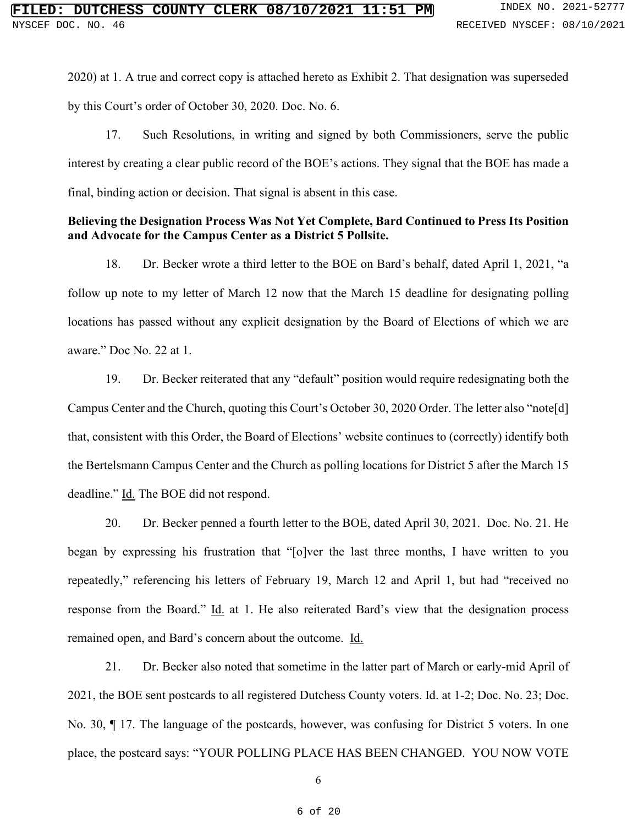2020) at 1. A true and correct copy is attached hereto as Exhibit 2. That designation was superseded by this Court's order of October 30, 2020. Doc. No. 6.

17. Such Resolutions, in writing and signed by both Commissioners, serve the public interest by creating a clear public record of the BOE's actions. They signal that the BOE has made a final, binding action or decision. That signal is absent in this case.

### **Believing the Designation Process Was Not Yet Complete, Bard Continued to Press Its Position and Advocate for the Campus Center as a District 5 Pollsite.**

18. Dr. Becker wrote a third letter to the BOE on Bard's behalf, dated April 1, 2021, "a follow up note to my letter of March 12 now that the March 15 deadline for designating polling locations has passed without any explicit designation by the Board of Elections of which we are aware." Doc No. 22 at 1.

19. Dr. Becker reiterated that any "default" position would require redesignating both the Campus Center and the Church, quoting this Court's October 30, 2020 Order. The letter also "note[d] that, consistent with this Order, the Board of Elections' website continues to (correctly) identify both the Bertelsmann Campus Center and the Church as polling locations for District 5 after the March 15 deadline." Id. The BOE did not respond.

20. Dr. Becker penned a fourth letter to the BOE, dated April 30, 2021. Doc. No. 21. He began by expressing his frustration that "[o]ver the last three months, I have written to you repeatedly," referencing his letters of February 19, March 12 and April 1, but had "received no response from the Board." Id. at 1. He also reiterated Bard's view that the designation process remained open, and Bard's concern about the outcome. Id.

21. Dr. Becker also noted that sometime in the latter part of March or early-mid April of 2021, the BOE sent postcards to all registered Dutchess County voters. Id. at 1-2; Doc. No. 23; Doc. No. 30, ¶ 17. The language of the postcards, however, was confusing for District 5 voters. In one place, the postcard says: "YOUR POLLING PLACE HAS BEEN CHANGED. YOU NOW VOTE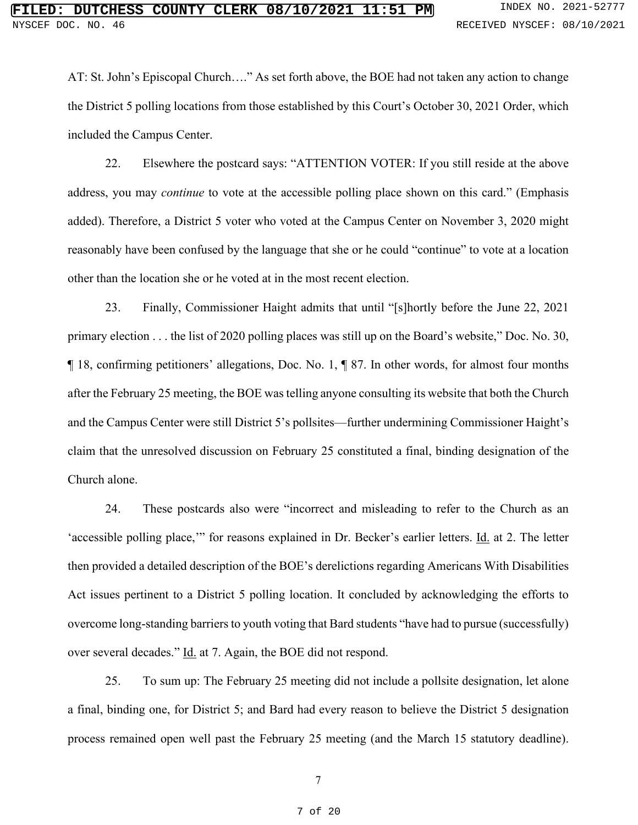AT: St. John's Episcopal Church…." As set forth above, the BOE had not taken any action to change the District 5 polling locations from those established by this Court's October 30, 2021 Order, which included the Campus Center.

22. Elsewhere the postcard says: "ATTENTION VOTER: If you still reside at the above address, you may *continue* to vote at the accessible polling place shown on this card." (Emphasis added). Therefore, a District 5 voter who voted at the Campus Center on November 3, 2020 might reasonably have been confused by the language that she or he could "continue" to vote at a location other than the location she or he voted at in the most recent election.

23. Finally, Commissioner Haight admits that until "[s]hortly before the June 22, 2021 primary election . . . the list of 2020 polling places was still up on the Board's website," Doc. No. 30, ¶ 18, confirming petitioners' allegations, Doc. No. 1, ¶ 87. In other words, for almost four months after the February 25 meeting, the BOE was telling anyone consulting its website that both the Church and the Campus Center were still District 5's pollsites—further undermining Commissioner Haight's claim that the unresolved discussion on February 25 constituted a final, binding designation of the Church alone.

24. These postcards also were "incorrect and misleading to refer to the Church as an 'accessible polling place,'" for reasons explained in Dr. Becker's earlier letters. Id. at 2. The letter then provided a detailed description of the BOE's derelictions regarding Americans With Disabilities Act issues pertinent to a District 5 polling location. It concluded by acknowledging the efforts to overcome long-standing barriers to youth voting that Bard students "have had to pursue (successfully) over several decades." Id. at 7. Again, the BOE did not respond.

25. To sum up: The February 25 meeting did not include a pollsite designation, let alone a final, binding one, for District 5; and Bard had every reason to believe the District 5 designation process remained open well past the February 25 meeting (and the March 15 statutory deadline).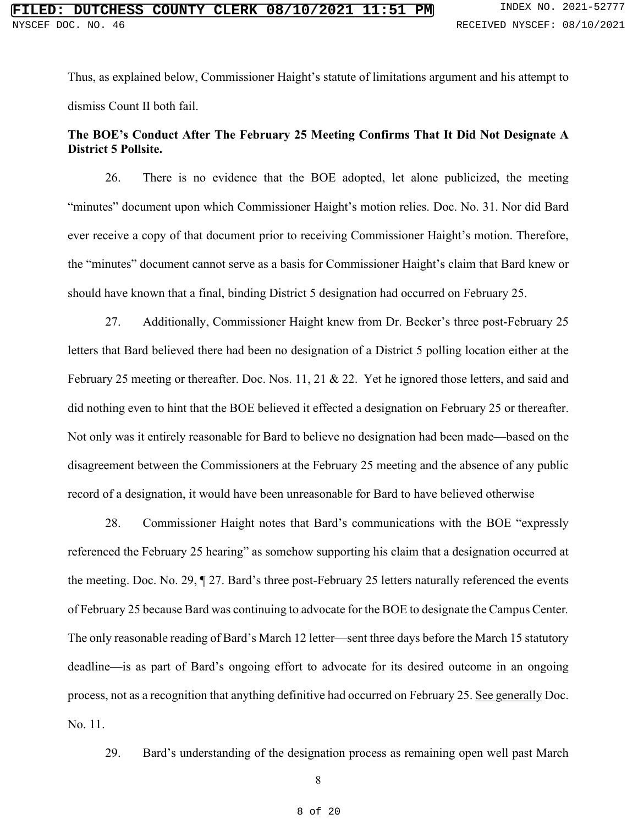Thus, as explained below, Commissioner Haight's statute of limitations argument and his attempt to dismiss Count II both fail.

# **The BOE's Conduct After The February 25 Meeting Confirms That It Did Not Designate A District 5 Pollsite.**

26. There is no evidence that the BOE adopted, let alone publicized, the meeting "minutes" document upon which Commissioner Haight's motion relies. Doc. No. 31. Nor did Bard ever receive a copy of that document prior to receiving Commissioner Haight's motion. Therefore, the "minutes" document cannot serve as a basis for Commissioner Haight's claim that Bard knew or should have known that a final, binding District 5 designation had occurred on February 25.

27. Additionally, Commissioner Haight knew from Dr. Becker's three post-February 25 letters that Bard believed there had been no designation of a District 5 polling location either at the February 25 meeting or thereafter. Doc. Nos. 11, 21 & 22. Yet he ignored those letters, and said and did nothing even to hint that the BOE believed it effected a designation on February 25 or thereafter. Not only was it entirely reasonable for Bard to believe no designation had been made—based on the disagreement between the Commissioners at the February 25 meeting and the absence of any public record of a designation, it would have been unreasonable for Bard to have believed otherwise

28. Commissioner Haight notes that Bard's communications with the BOE "expressly referenced the February 25 hearing" as somehow supporting his claim that a designation occurred at the meeting. Doc. No. 29, ¶ 27. Bard's three post-February 25 letters naturally referenced the events of February 25 because Bard was continuing to advocate for the BOE to designate the Campus Center*.* The only reasonable reading of Bard's March 12 letter—sent three days before the March 15 statutory deadline—is as part of Bard's ongoing effort to advocate for its desired outcome in an ongoing process, not as a recognition that anything definitive had occurred on February 25. See generally Doc. No. 11.

29. Bard's understanding of the designation process as remaining open well past March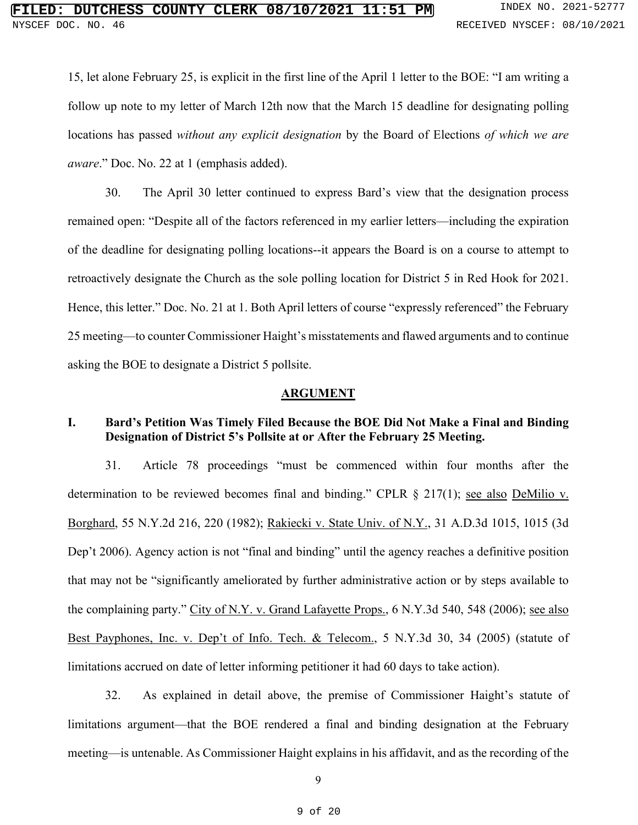15, let alone February 25, is explicit in the first line of the April 1 letter to the BOE: "I am writing a follow up note to my letter of March 12th now that the March 15 deadline for designating polling locations has passed *without any explicit designation* by the Board of Elections *of which we are aware*." Doc. No. 22 at 1 (emphasis added).

30. The April 30 letter continued to express Bard's view that the designation process remained open: "Despite all of the factors referenced in my earlier letters—including the expiration of the deadline for designating polling locations--it appears the Board is on a course to attempt to retroactively designate the Church as the sole polling location for District 5 in Red Hook for 2021. Hence, this letter." Doc. No. 21 at 1. Both April letters of course "expressly referenced" the February 25 meeting—to counter Commissioner Haight's misstatements and flawed arguments and to continue asking the BOE to designate a District 5 pollsite.

### **ARGUMENT**

## **I. Bard's Petition Was Timely Filed Because the BOE Did Not Make a Final and Binding Designation of District 5's Pollsite at or After the February 25 Meeting.**

31. Article 78 proceedings "must be commenced within four months after the determination to be reviewed becomes final and binding." CPLR  $\S$  217(1); see also DeMilio v. Borghard, 55 N.Y.2d 216, 220 (1982); Rakiecki v. State Univ. of N.Y., 31 A.D.3d 1015, 1015 (3d Dep't 2006). Agency action is not "final and binding" until the agency reaches a definitive position that may not be "significantly ameliorated by further administrative action or by steps available to the complaining party." City of N.Y. v. Grand Lafayette Props., 6 N.Y.3d 540, 548 (2006); see also Best Payphones, Inc. v. Dep't of Info. Tech. & Telecom., 5 N.Y.3d 30, 34 (2005) (statute of limitations accrued on date of letter informing petitioner it had 60 days to take action).

32. As explained in detail above, the premise of Commissioner Haight's statute of limitations argument—that the BOE rendered a final and binding designation at the February meeting—is untenable. As Commissioner Haight explains in his affidavit, and as the recording of the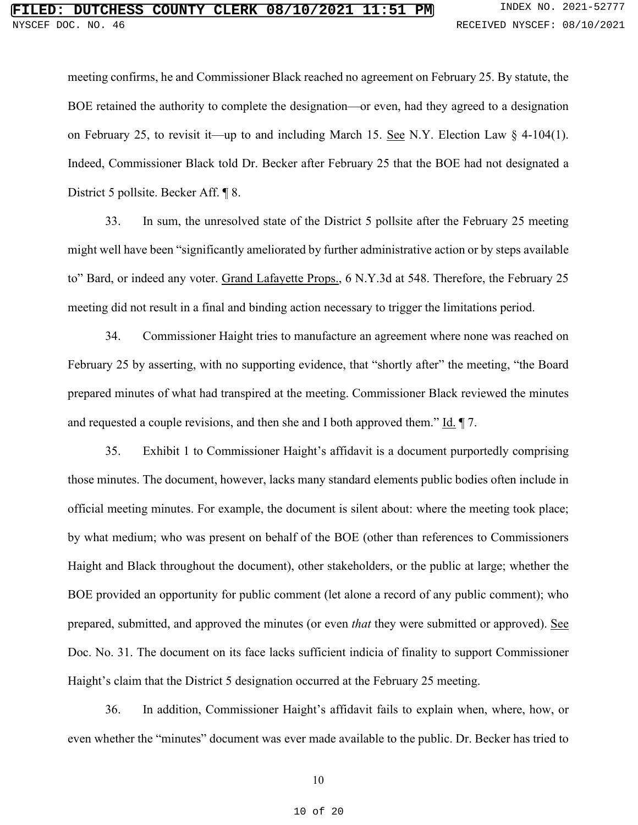meeting confirms, he and Commissioner Black reached no agreement on February 25. By statute, the BOE retained the authority to complete the designation—or even, had they agreed to a designation on February 25, to revisit it—up to and including March 15. See N.Y. Election Law  $\S$  4-104(1). Indeed, Commissioner Black told Dr. Becker after February 25 that the BOE had not designated a District 5 pollsite. Becker Aff. ¶ 8.

33. In sum, the unresolved state of the District 5 pollsite after the February 25 meeting might well have been "significantly ameliorated by further administrative action or by steps available to" Bard, or indeed any voter. Grand Lafayette Props., 6 N.Y.3d at 548. Therefore, the February 25 meeting did not result in a final and binding action necessary to trigger the limitations period.

34. Commissioner Haight tries to manufacture an agreement where none was reached on February 25 by asserting, with no supporting evidence, that "shortly after" the meeting, "the Board prepared minutes of what had transpired at the meeting. Commissioner Black reviewed the minutes and requested a couple revisions, and then she and I both approved them." Id.  $\P$  7.

35. Exhibit 1 to Commissioner Haight's affidavit is a document purportedly comprising those minutes. The document, however, lacks many standard elements public bodies often include in official meeting minutes. For example, the document is silent about: where the meeting took place; by what medium; who was present on behalf of the BOE (other than references to Commissioners Haight and Black throughout the document), other stakeholders, or the public at large; whether the BOE provided an opportunity for public comment (let alone a record of any public comment); who prepared, submitted, and approved the minutes (or even *that* they were submitted or approved). See Doc. No. 31. The document on its face lacks sufficient indicia of finality to support Commissioner Haight's claim that the District 5 designation occurred at the February 25 meeting.

36. In addition, Commissioner Haight's affidavit fails to explain when, where, how, or even whether the "minutes" document was ever made available to the public. Dr. Becker has tried to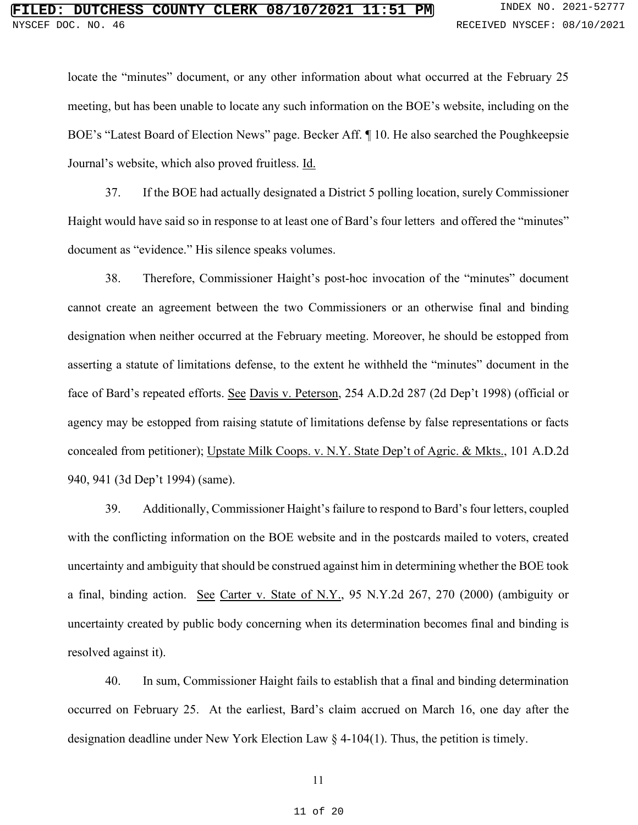locate the "minutes" document, or any other information about what occurred at the February 25 meeting, but has been unable to locate any such information on the BOE's website, including on the BOE's "Latest Board of Election News" page. Becker Aff. ¶ 10. He also searched the Poughkeepsie Journal's website, which also proved fruitless. Id.

37. If the BOE had actually designated a District 5 polling location, surely Commissioner Haight would have said so in response to at least one of Bard's four letters and offered the "minutes" document as "evidence." His silence speaks volumes.

38. Therefore, Commissioner Haight's post-hoc invocation of the "minutes" document cannot create an agreement between the two Commissioners or an otherwise final and binding designation when neither occurred at the February meeting. Moreover, he should be estopped from asserting a statute of limitations defense, to the extent he withheld the "minutes" document in the face of Bard's repeated efforts. See Davis v. Peterson, 254 A.D.2d 287 (2d Dep't 1998) (official or agency may be estopped from raising statute of limitations defense by false representations or facts concealed from petitioner); Upstate Milk Coops. v. N.Y. State Dep't of Agric. & Mkts., 101 A.D.2d 940, 941 (3d Dep't 1994) (same).

39. Additionally, Commissioner Haight's failure to respond to Bard's four letters, coupled with the conflicting information on the BOE website and in the postcards mailed to voters, created uncertainty and ambiguity that should be construed against him in determining whether the BOE took a final, binding action. See Carter v. State of N.Y., 95 N.Y.2d 267, 270 (2000) (ambiguity or uncertainty created by public body concerning when its determination becomes final and binding is resolved against it).

40. In sum, Commissioner Haight fails to establish that a final and binding determination occurred on February 25. At the earliest, Bard's claim accrued on March 16, one day after the designation deadline under New York Election Law § 4-104(1). Thus, the petition is timely.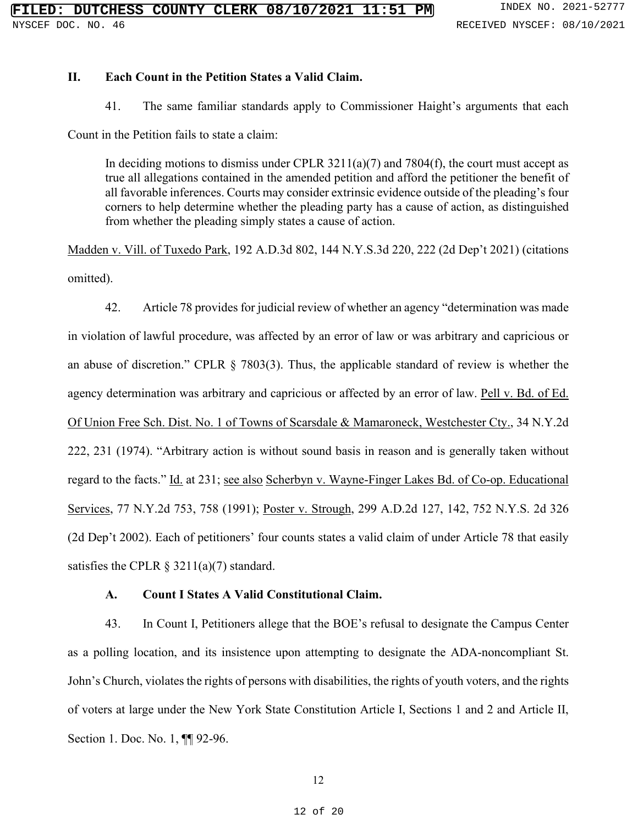### **II. Each Count in the Petition States a Valid Claim.**

41. The same familiar standards apply to Commissioner Haight's arguments that each

Count in the Petition fails to state a claim:

In deciding motions to dismiss under CPLR  $3211(a)(7)$  and  $7804(f)$ , the court must accept as true all allegations contained in the amended petition and afford the petitioner the benefit of all favorable inferences. Courts may consider extrinsic evidence outside of the pleading's four corners to help determine whether the pleading party has a cause of action, as distinguished from whether the pleading simply states a cause of action.

Madden v. Vill. of Tuxedo Park, 192 A.D.3d 802, 144 N.Y.S.3d 220, 222 (2d Dep't 2021) (citations omitted).

42. Article 78 provides for judicial review of whether an agency "determination was made in violation of lawful procedure, was affected by an error of law or was arbitrary and capricious or an abuse of discretion." CPLR § 7803(3). Thus, the applicable standard of review is whether the agency determination was arbitrary and capricious or affected by an error of law. Pell v. Bd. of Ed. Of Union Free Sch. Dist. No. 1 of Towns of Scarsdale & Mamaroneck, Westchester Cty., 34 N.Y.2d 222, 231 (1974). "Arbitrary action is without sound basis in reason and is generally taken without regard to the facts." Id. at 231; see also Scherbyn v. Wayne-Finger Lakes Bd. of Co-op. Educational Services, 77 N.Y.2d 753, 758 (1991); Poster v. Strough, 299 A.D.2d 127, 142, 752 N.Y.S. 2d 326 (2d Dep't 2002). Each of petitioners' four counts states a valid claim of under Article 78 that easily satisfies the CPLR  $\S$  3211(a)(7) standard.

### **A. Count I States A Valid Constitutional Claim.**

43. In Count I, Petitioners allege that the BOE's refusal to designate the Campus Center as a polling location, and its insistence upon attempting to designate the ADA-noncompliant St. John's Church, violates the rights of persons with disabilities, the rights of youth voters, and the rights of voters at large under the New York State Constitution Article I, Sections 1 and 2 and Article II, Section 1. Doc. No. 1, **[1]** 92-96.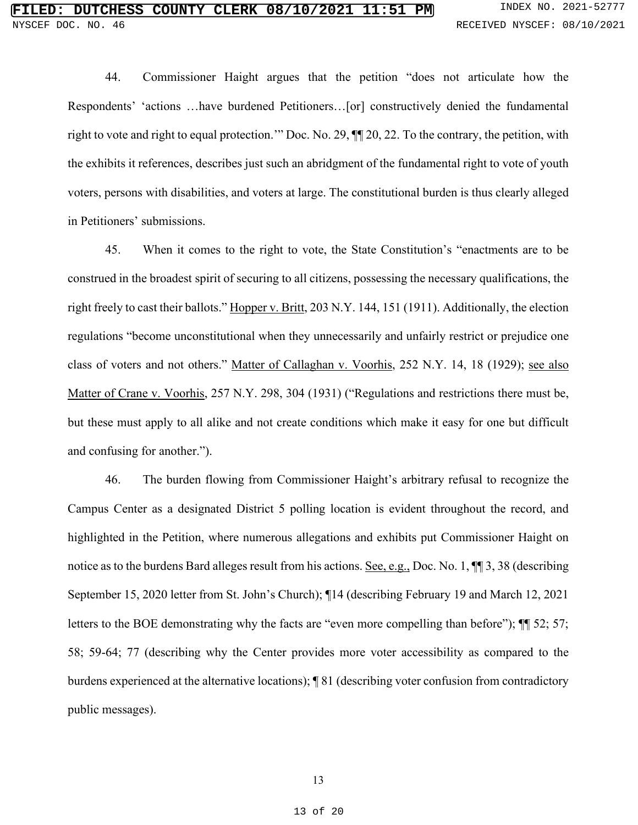44. Commissioner Haight argues that the petition "does not articulate how the Respondents' 'actions …have burdened Petitioners…[or] constructively denied the fundamental right to vote and right to equal protection.'" Doc. No. 29, ¶¶ 20, 22. To the contrary, the petition, with the exhibits it references, describes just such an abridgment of the fundamental right to vote of youth voters, persons with disabilities, and voters at large. The constitutional burden is thus clearly alleged in Petitioners' submissions.

45. When it comes to the right to vote, the State Constitution's "enactments are to be construed in the broadest spirit of securing to all citizens, possessing the necessary qualifications, the right freely to cast their ballots." Hopper v. Britt, 203 N.Y. 144, 151 (1911). Additionally, the election regulations "become unconstitutional when they unnecessarily and unfairly restrict or prejudice one class of voters and not others." Matter of Callaghan v. Voorhis, 252 N.Y. 14, 18 (1929); see also Matter of Crane v. Voorhis, 257 N.Y. 298, 304 (1931) ("Regulations and restrictions there must be, but these must apply to all alike and not create conditions which make it easy for one but difficult and confusing for another.").

46. The burden flowing from Commissioner Haight's arbitrary refusal to recognize the Campus Center as a designated District 5 polling location is evident throughout the record, and highlighted in the Petition, where numerous allegations and exhibits put Commissioner Haight on notice as to the burdens Bard alleges result from his actions. See, e.g., Doc. No. 1,  $\P$  1, 3, 38 (describing September 15, 2020 letter from St. John's Church); ¶14 (describing February 19 and March 12, 2021 letters to the BOE demonstrating why the facts are "even more compelling than before");  $\P$  52; 57; 58; 59-64; 77 (describing why the Center provides more voter accessibility as compared to the burdens experienced at the alternative locations); ¶ 81 (describing voter confusion from contradictory public messages).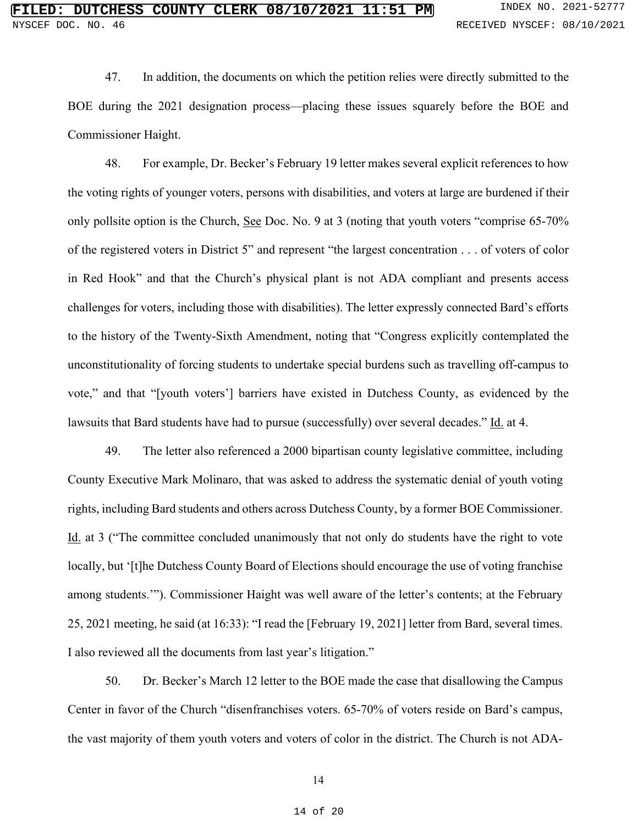47. In addition, the documents on which the petition relies were directly submitted to the BOE during the 2021 designation process—placing these issues squarely before the BOE and Commissioner Haight.

48. For example, Dr. Becker's February 19 letter makes several explicit references to how the voting rights of younger voters, persons with disabilities, and voters at large are burdened if their only pollsite option is the Church, See Doc. No. 9 at 3 (noting that youth voters "comprise 65-70% of the registered voters in District 5" and represent "the largest concentration . . . of voters of color in Red Hook" and that the Church's physical plant is not ADA compliant and presents access challenges for voters, including those with disabilities). The letter expressly connected Bard's efforts to the history of the Twenty-Sixth Amendment, noting that "Congress explicitly contemplated the unconstitutionality of forcing students to undertake special burdens such as travelling off-campus to vote," and that "[youth voters'] barriers have existed in Dutchess County, as evidenced by the lawsuits that Bard students have had to pursue (successfully) over several decades." Id. at 4.

49. The letter also referenced a 2000 bipartisan county legislative committee, including County Executive Mark Molinaro, that was asked to address the systematic denial of youth voting rights, including Bard students and others across Dutchess County, by a former BOE Commissioner. Id. at 3 ("The committee concluded unanimously that not only do students have the right to vote locally, but '[t]he Dutchess County Board of Elections should encourage the use of voting franchise among students.'"). Commissioner Haight was well aware of the letter's contents; at the February 25, 2021 meeting, he said (at 16:33): "I read the [February 19, 2021] letter from Bard, several times. I also reviewed all the documents from last year's litigation."

50. Dr. Becker's March 12 letter to the BOE made the case that disallowing the Campus Center in favor of the Church "disenfranchises voters. 65-70% of voters reside on Bard's campus, the vast majority of them youth voters and voters of color in the district. The Church is not ADA-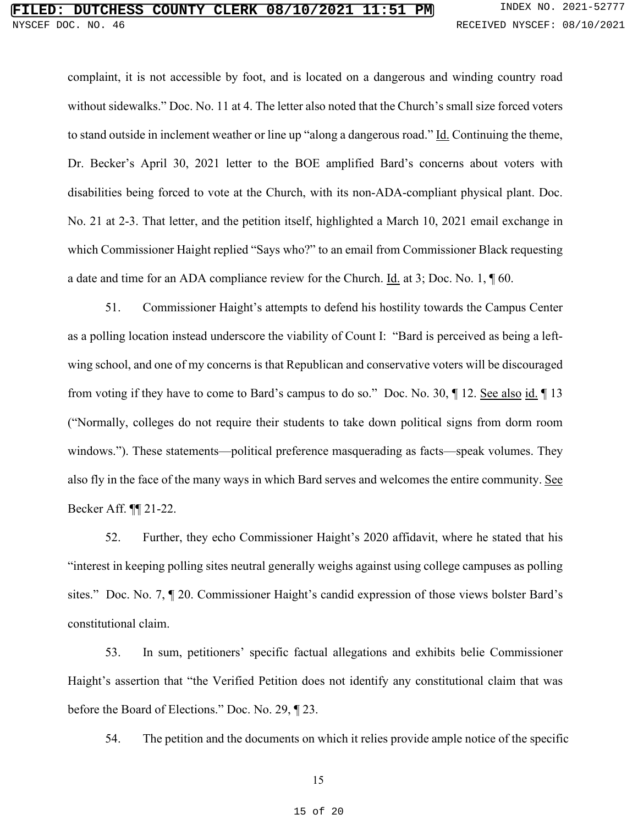# **FILESS COUNTY CLERK 08/10/2021 11:51 PM** INDEX NO. 2021-52777 DOC. NO. 46 RECEIVED NYSCEF: 08/10/2021

complaint, it is not accessible by foot, and is located on a dangerous and winding country road without sidewalks." Doc. No. 11 at 4. The letter also noted that the Church's small size forced voters to stand outside in inclement weather or line up "along a dangerous road." Id. Continuing the theme, Dr. Becker's April 30, 2021 letter to the BOE amplified Bard's concerns about voters with disabilities being forced to vote at the Church, with its non-ADA-compliant physical plant. Doc. No. 21 at 2-3. That letter, and the petition itself, highlighted a March 10, 2021 email exchange in which Commissioner Haight replied "Says who?" to an email from Commissioner Black requesting a date and time for an ADA compliance review for the Church. Id. at 3; Doc. No. 1,  $\parallel$  60.

51. Commissioner Haight's attempts to defend his hostility towards the Campus Center as a polling location instead underscore the viability of Count I: "Bard is perceived as being a leftwing school, and one of my concerns is that Republican and conservative voters will be discouraged from voting if they have to come to Bard's campus to do so." Doc. No. 30,  $\parallel$  12. <u>See also id.</u>  $\parallel$  13 ("Normally, colleges do not require their students to take down political signs from dorm room windows."). These statements—political preference masquerading as facts—speak volumes. They also fly in the face of the many ways in which Bard serves and welcomes the entire community. See Becker Aff. ¶¶ 21-22.

52. Further, they echo Commissioner Haight's 2020 affidavit, where he stated that his "interest in keeping polling sites neutral generally weighs against using college campuses as polling sites." Doc. No. 7, ¶ 20. Commissioner Haight's candid expression of those views bolster Bard's constitutional claim.

53. In sum, petitioners' specific factual allegations and exhibits belie Commissioner Haight's assertion that "the Verified Petition does not identify any constitutional claim that was before the Board of Elections." Doc. No. 29, ¶ 23.

54. The petition and the documents on which it relies provide ample notice of the specific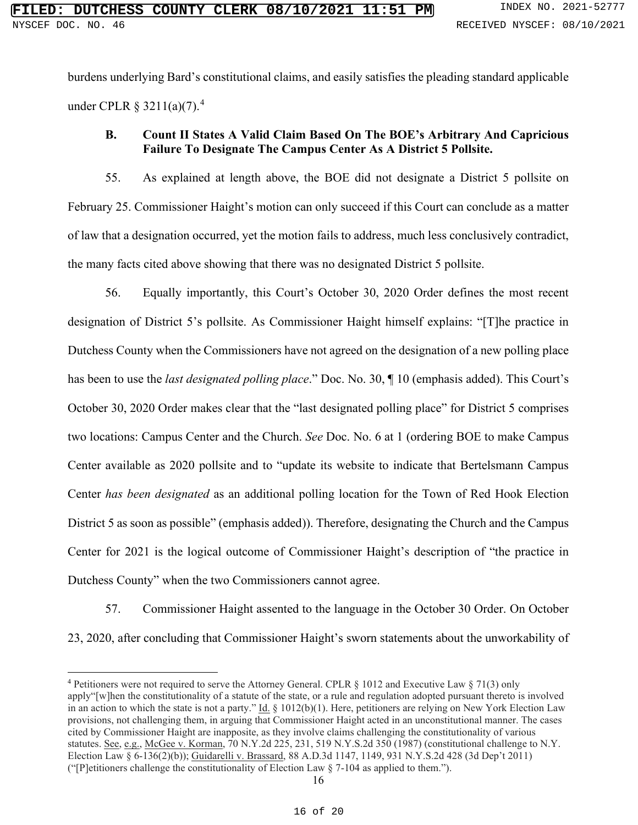burdens underlying Bard's constitutional claims, and easily satisfies the pleading standard applicable under CPLR  $\S 3211(a)(7)$ .<sup>[4](#page-15-0)</sup>

## **B. Count II States A Valid Claim Based On The BOE's Arbitrary And Capricious Failure To Designate The Campus Center As A District 5 Pollsite.**

55. As explained at length above, the BOE did not designate a District 5 pollsite on February 25. Commissioner Haight's motion can only succeed if this Court can conclude as a matter of law that a designation occurred, yet the motion fails to address, much less conclusively contradict, the many facts cited above showing that there was no designated District 5 pollsite.

56. Equally importantly, this Court's October 30, 2020 Order defines the most recent designation of District 5's pollsite. As Commissioner Haight himself explains: "[T]he practice in Dutchess County when the Commissioners have not agreed on the designation of a new polling place has been to use the *last designated polling place*." Doc. No. 30, ¶ 10 (emphasis added). This Court's October 30, 2020 Order makes clear that the "last designated polling place" for District 5 comprises two locations: Campus Center and the Church. *See* Doc. No. 6 at 1 (ordering BOE to make Campus Center available as 2020 pollsite and to "update its website to indicate that Bertelsmann Campus Center *has been designated* as an additional polling location for the Town of Red Hook Election District 5 as soon as possible" (emphasis added)). Therefore, designating the Church and the Campus Center for 2021 is the logical outcome of Commissioner Haight's description of "the practice in Dutchess County" when the two Commissioners cannot agree.

57. Commissioner Haight assented to the language in the October 30 Order. On October 23, 2020, after concluding that Commissioner Haight's sworn statements about the unworkability of

<span id="page-15-0"></span><sup>4</sup> Petitioners were not required to serve the Attorney General. CPLR § 1012 and Executive Law § 71(3) only apply"[w]hen the constitutionality of a statute of the state, or a rule and regulation adopted pursuant thereto is involved in an action to which the state is not a party."  $\underline{Id}$ . § 1012(b)(1). Here, petitioners are relying on New York Election Law provisions, not challenging them, in arguing that Commissioner Haight acted in an unconstitutional manner. The cases cited by Commissioner Haight are inapposite, as they involve claims challenging the constitutionality of various statutes. See, e.g., McGee v. Korman, 70 N.Y.2d 225, 231, 519 N.Y.S.2d 350 (1987) (constitutional challenge to N.Y. Election Law § 6-136(2)(b)); Guidarelli v. Brassard, 88 A.D.3d 1147, 1149, 931 N.Y.S.2d 428 (3d Dep't 2011) ("[P]etitioners challenge the constitutionality of Election Law  $\S$  7-104 as applied to them.").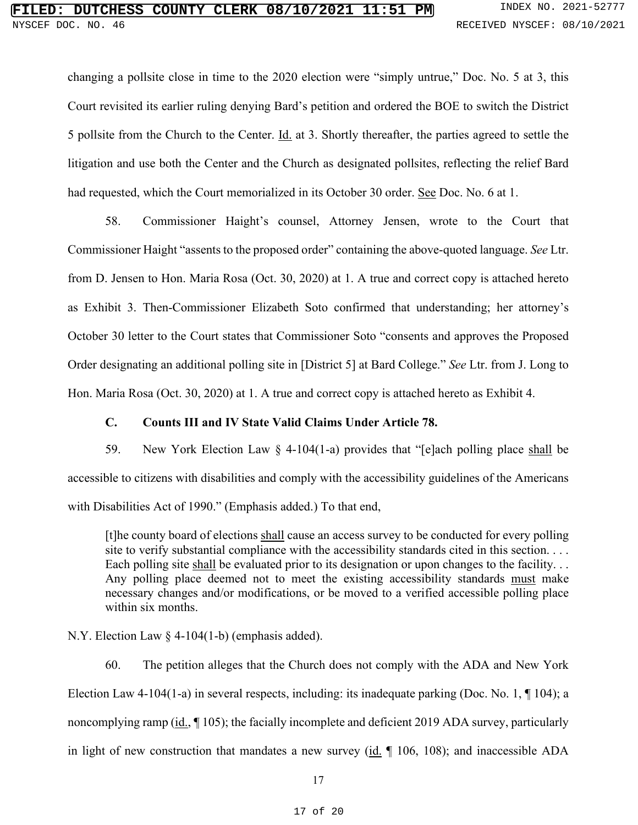changing a pollsite close in time to the 2020 election were "simply untrue," Doc. No. 5 at 3, this Court revisited its earlier ruling denying Bard's petition and ordered the BOE to switch the District 5 pollsite from the Church to the Center.  $\underline{Id}$  at 3. Shortly thereafter, the parties agreed to settle the litigation and use both the Center and the Church as designated pollsites, reflecting the relief Bard had requested, which the Court memorialized in its October 30 order. See Doc. No. 6 at 1.

58. Commissioner Haight's counsel, Attorney Jensen, wrote to the Court that Commissioner Haight "assents to the proposed order" containing the above-quoted language. *See* Ltr. from D. Jensen to Hon. Maria Rosa (Oct. 30, 2020) at 1. A true and correct copy is attached hereto as Exhibit 3. Then-Commissioner Elizabeth Soto confirmed that understanding; her attorney's October 30 letter to the Court states that Commissioner Soto "consents and approves the Proposed Order designating an additional polling site in [District 5] at Bard College." *See* Ltr. from J. Long to Hon. Maria Rosa (Oct. 30, 2020) at 1. A true and correct copy is attached hereto as Exhibit 4.

## **C. Counts III and IV State Valid Claims Under Article 78.**

59. New York Election Law § 4-104(1-a) provides that "[e]ach polling place shall be accessible to citizens with disabilities and comply with the accessibility guidelines of the Americans with Disabilities Act of 1990." (Emphasis added.) To that end,

[t]he county board of elections shall cause an access survey to be conducted for every polling site to verify substantial compliance with the accessibility standards cited in this section. . . . Each polling site shall be evaluated prior to its designation or upon changes to the facility... Any polling place deemed not to meet the existing accessibility standards must make necessary changes and/or modifications, or be moved to a verified accessible polling place within six months.

N.Y. Election Law § 4-104(1-b) (emphasis added).

60. The petition alleges that the Church does not comply with the ADA and New York Election Law 4-104(1-a) in several respects, including: its inadequate parking (Doc. No. 1,  $\P$  104); a noncomplying ramp (id., 105); the facially incomplete and deficient 2019 ADA survey, particularly in light of new construction that mandates a new survey  $(id. \parallel 106, 108)$ ; and inaccessible ADA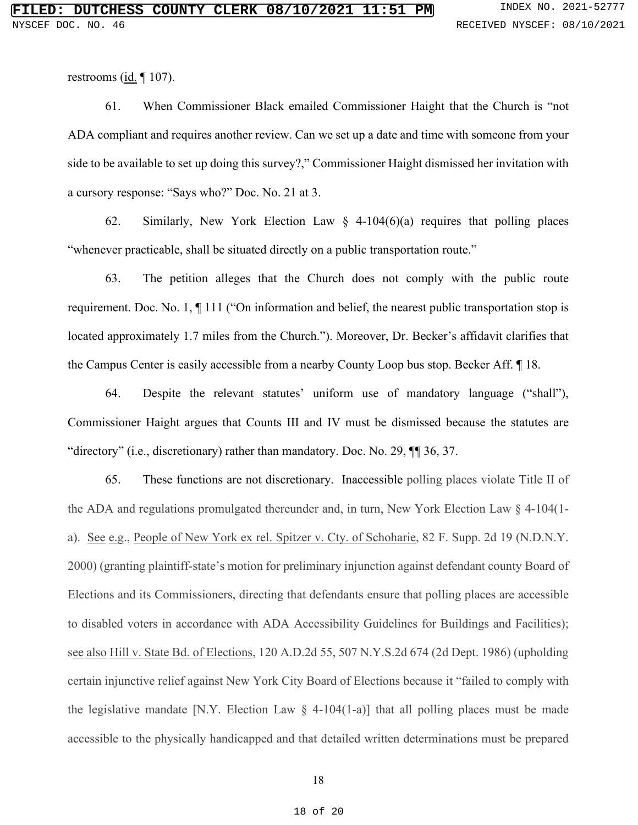restrooms (id. ¶ 107).

61. When Commissioner Black emailed Commissioner Haight that the Church is "not ADA compliant and requires another review. Can we set up a date and time with someone from your side to be available to set up doing this survey?," Commissioner Haight dismissed her invitation with a cursory response: "Says who?" Doc. No. 21 at 3.

62. Similarly, New York Election Law § 4-104(6)(a) requires that polling places "whenever practicable, shall be situated directly on a public transportation route."

63. The petition alleges that the Church does not comply with the public route requirement. Doc. No. 1, ¶ 111 ("On information and belief, the nearest public transportation stop is located approximately 1.7 miles from the Church."). Moreover, Dr. Becker's affidavit clarifies that the Campus Center is easily accessible from a nearby County Loop bus stop. Becker Aff. ¶ 18.

64. Despite the relevant statutes' uniform use of mandatory language ("shall"), Commissioner Haight argues that Counts III and IV must be dismissed because the statutes are "directory" (i.e., discretionary) rather than mandatory. Doc. No. 29,  $\P$  36, 37.

65. These functions are not discretionary. Inaccessible polling places violate Title II of the ADA and regulations promulgated thereunder and, in turn, New York Election Law  $\S$  4-104(1a). See e.g., People of New York ex rel. Spitzer v. Cty. of Schoharie, 82 F. Supp. 2d 19 (N.D.N.Y. 2000) (granting plaintiff-state's motion for preliminary injunction against defendant county Board of Elections and its Commissioners, directing that defendants ensure that polling places are accessible to disabled voters in accordance with ADA Accessibility Guidelines for Buildings and Facilities); see also Hill v. State Bd. of Elections, 120 A.D.2d 55, 507 N.Y.S.2d 674 (2d Dept. 1986) (upholding certain injunctive relief against New York City Board of Elections because it "failed to comply with the legislative mandate [N.Y. Election Law  $\S$  4-104(1-a)] that all polling places must be made accessible to the physically handicapped and that detailed written determinations must be prepared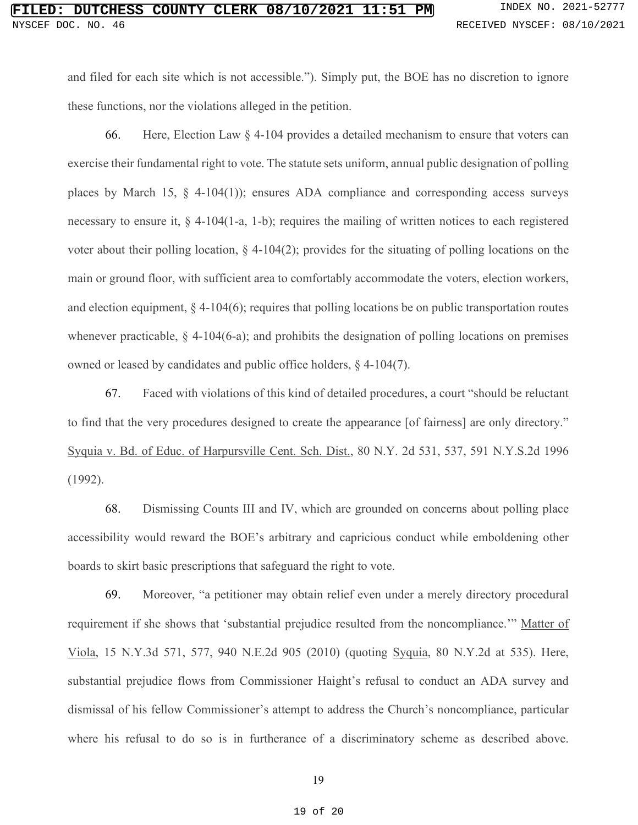# **FILESS COUNTY CLERK 08/10/2021 11:51 PM** INDEX NO. 2021-52777 NYSCEF DOC. NO. 46 **RECEIVED NYSCEF: 08/10/2021**

and filed for each site which is not accessible."). Simply put, the BOE has no discretion to ignore these functions, nor the violations alleged in the petition.

66. Here, Election Law  $\S$  4-104 provides a detailed mechanism to ensure that voters can exercise their fundamental right to vote. The statute sets uniform, annual public designation of polling places by March 15,  $\S$  4-104(1)); ensures ADA compliance and corresponding access surveys necessary to ensure it, § 4-104(1-a, 1-b); requires the mailing of written notices to each registered voter about their polling location,  $\S$  4-104(2); provides for the situating of polling locations on the main or ground floor, with sufficient area to comfortably accommodate the voters, election workers, and election equipment,  $\S$  4-104(6); requires that polling locations be on public transportation routes whenever practicable,  $\S$  4-104(6-a); and prohibits the designation of polling locations on premises owned or leased by candidates and public office holders, § 4-104(7).

67. Faced with violations of this kind of detailed procedures, a court "should be reluctant to find that the very procedures designed to create the appearance [of fairness] are only directory." Syquia v. Bd. of Educ. of Harpursville Cent. Sch. Dist., 80 N.Y. 2d 531, 537, 591 N.Y.S.2d 1996 (1992).

68. Dismissing Counts III and IV, which are grounded on concerns about polling place accessibility would reward the BOE's arbitrary and capricious conduct while emboldening other boards to skirt basic prescriptions that safeguard the right to vote.

69. Moreover, "a petitioner may obtain relief even under a merely directory procedural requirement if she shows that 'substantial prejudice resulted from the noncompliance.'" Matter of Viola, 15 N.Y.3d 571, 577, 940 N.E.2d 905 (2010) (quoting Syquia, 80 N.Y.2d at 535). Here, substantial prejudice flows from Commissioner Haight's refusal to conduct an ADA survey and dismissal of his fellow Commissioner's attempt to address the Church's noncompliance, particular where his refusal to do so is in furtherance of a discriminatory scheme as described above.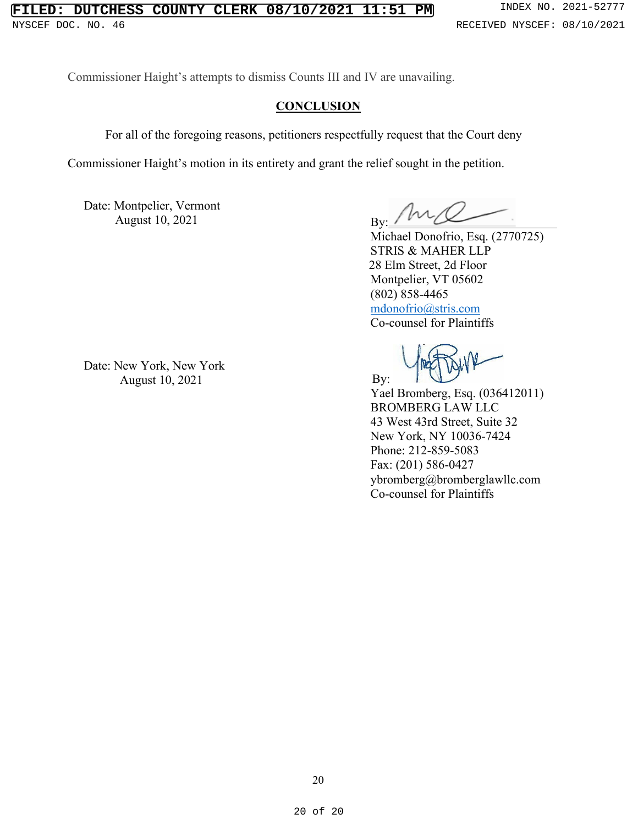### **FILED: DUTCHESS COUNTY CLERK 08/10/2021 11:51 PM** INDEX NO. 2021-52777 NYSCEF DOC. NO. 46 **RECEIVED NYSCEF: 08/10/2021**

Commissioner Haight's attempts to dismiss Counts III and IV are unavailing.

### **CONCLUSION**

For all of the foregoing reasons, petitioners respectfully request that the Court deny

Commissioner Haight's motion in its entirety and grant the relief sought in the petition.

Date: Montpelier, Vermont August  $10, 2021$  By:

Michael Donofrio, Esq. (2770725) STRIS & MAHER LLP 28 Elm Street, 2d Floor Montpelier, VT 05602 (802) 858-4465 [mdonofrio@stris.com](mailto:mdonofrio@stris.com) Co-counsel for Plaintiffs

Yael Bromberg, Esq. (036412011) BROMBERG LAW LLC 43 West 43rd Street, Suite 32 New York, NY 10036-7424 Phone: 212-859-5083 Fax: (201) 586-0427 [ybromberg@bromberglawllc.com](mailto:ybromberg@bromberglawllc.com) Co-counsel for Plaintiffs

Date: New York, New York August 10, 2021 By: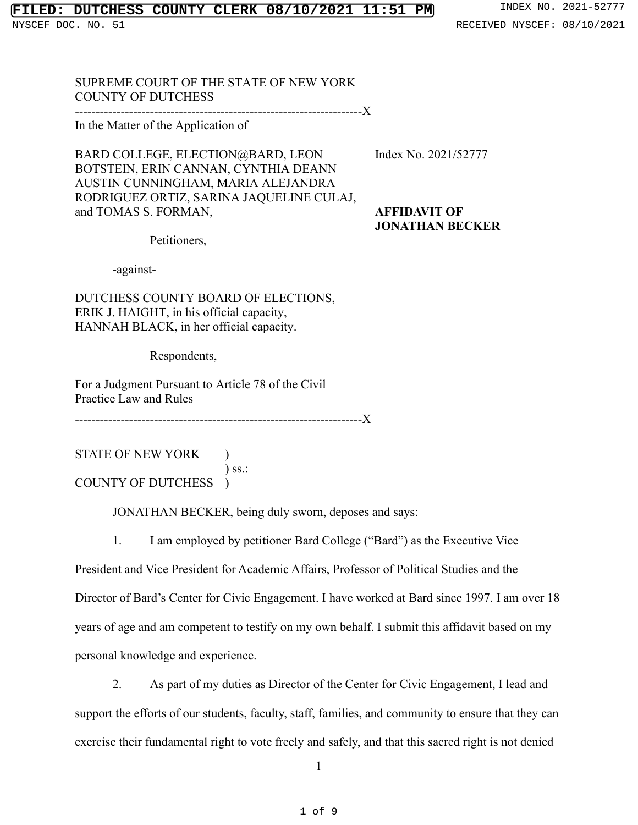# **FILED: DUTCHESS COUNTY CLERK 08/10/2021 11:51 PM** INDEX NO. 2021-52777

NYSCEF DOC. NO. 51 **RECEIVED NYSCEF: 08/10/2021** 

SUPREME COURT OF THE STATE OF NEW YORK COUNTY OF DUTCHESS

---------------------------------------------------------------------X

In the Matter of the Application of

BARD COLLEGE, ELECTION@BARD, LEON Index No. 2021/52777 BOTSTEIN, ERIN CANNAN, CYNTHIA DEANN AUSTIN CUNNINGHAM, MARIA ALEJANDRA RODRIGUEZ ORTIZ, SARINA JAQUELINE CULAJ, and TOMAS S. FORMAN, **AFFIDAVIT OF**

**JONATHAN BECKER**

Petitioners,

-against-

DUTCHESS COUNTY BOARD OF ELECTIONS, ERIK J. HAIGHT, in his official capacity, HANNAH BLACK, in her official capacity.

Respondents,

For a Judgment Pursuant to Article 78 of the Civil Practice Law and Rules

---------------------------------------------------------------------X

STATE OF NEW YORK ) ) ss.: COUNTY OF DUTCHESS )

JONATHAN BECKER, being duly sworn, deposes and says:

1. I am employed by petitioner Bard College ("Bard") as the Executive Vice

President and Vice President for Academic Affairs, Professor of Political Studies and the Director of Bard's Center for Civic Engagement. I have worked at Bard since 1997. I am over 18 years of age and am competent to testify on my own behalf. I submit this affidavit based on my personal knowledge and experience.

2. As part of my duties as Director of the Center for Civic Engagement, I lead and support the efforts of our students, faculty, staff, families, and community to ensure that they can exercise their fundamental right to vote freely and safely, and that this sacred right is not denied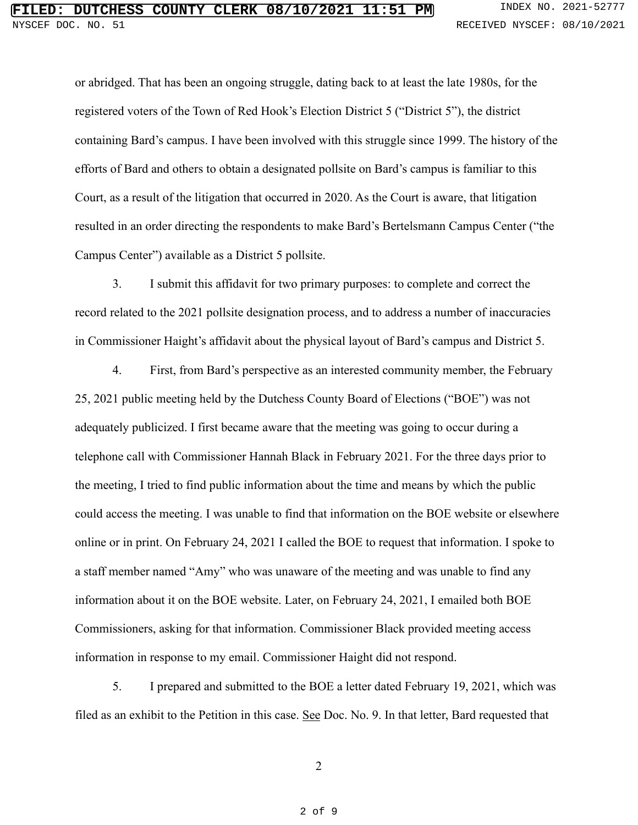or abridged. That has been an ongoing struggle, dating back to at least the late 1980s, for the registered voters of the Town of Red Hook's Election District 5 ("District 5"), the district containing Bard's campus. I have been involved with this struggle since 1999. The history of the efforts of Bard and others to obtain a designated pollsite on Bard's campus is familiar to this Court, as a result of the litigation that occurred in 2020. As the Court is aware, that litigation resulted in an order directing the respondents to make Bard's Bertelsmann Campus Center ("the Campus Center") available as a District 5 pollsite.

3. I submit this affidavit for two primary purposes: to complete and correct the record related to the 2021 pollsite designation process, and to address a number of inaccuracies in Commissioner Haight's affidavit about the physical layout of Bard's campus and District 5.

4. First, from Bard's perspective as an interested community member, the February 25, 2021 public meeting held by the Dutchess County Board of Elections ("BOE") was not adequately publicized. I first became aware that the meeting was going to occur during a telephone call with Commissioner Hannah Black in February 2021. For the three days prior to the meeting, I tried to find public information about the time and means by which the public could access the meeting. I was unable to find that information on the BOE website or elsewhere online or in print. On February 24, 2021 I called the BOE to request that information. I spoke to a staff member named "Amy" who was unaware of the meeting and was unable to find any information about it on the BOE website. Later, on February 24, 2021, I emailed both BOE Commissioners, asking for that information. Commissioner Black provided meeting access information in response to my email. Commissioner Haight did not respond.

5. I prepared and submitted to the BOE a letter dated February 19, 2021, which was filed as an exhibit to the Petition in this case. See Doc. No. 9. In that letter, Bard requested that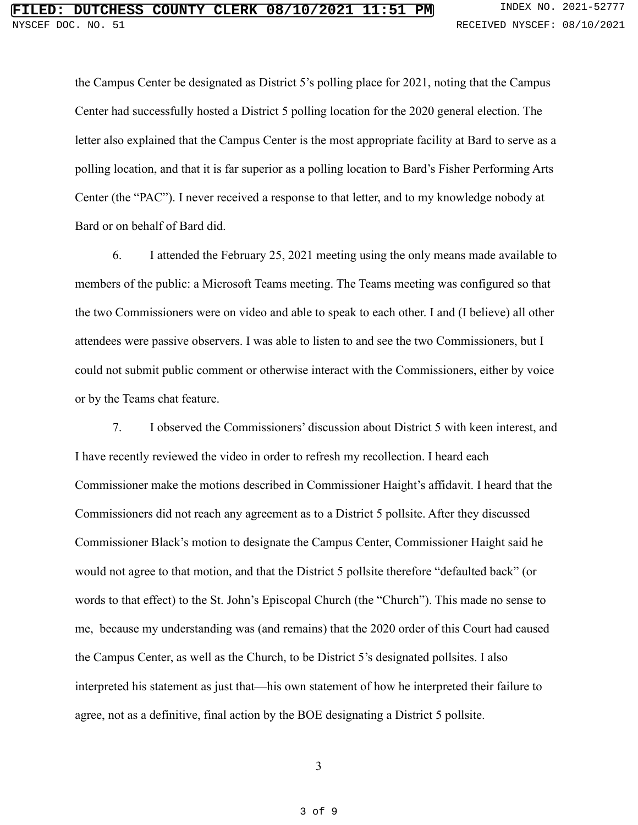the Campus Center be designated as District 5's polling place for 2021, noting that the Campus Center had successfully hosted a District 5 polling location for the 2020 general election. The letter also explained that the Campus Center is the most appropriate facility at Bard to serve as a polling location, and that it is far superior as a polling location to Bard's Fisher Performing Arts Center (the "PAC"). I never received a response to that letter, and to my knowledge nobody at Bard or on behalf of Bard did.

6. I attended the February 25, 2021 meeting using the only means made available to members of the public: a Microsoft Teams meeting. The Teams meeting was configured so that the two Commissioners were on video and able to speak to each other. I and (I believe) all other attendees were passive observers. I was able to listen to and see the two Commissioners, but I could not submit public comment or otherwise interact with the Commissioners, either by voice or by the Teams chat feature.

7. I observed the Commissioners' discussion about District 5 with keen interest, and I have recently reviewed the video in order to refresh my recollection. I heard each Commissioner make the motions described in Commissioner Haight's affidavit. I heard that the Commissioners did not reach any agreement as to a District 5 pollsite. After they discussed Commissioner Black's motion to designate the Campus Center, Commissioner Haight said he would not agree to that motion, and that the District 5 pollsite therefore "defaulted back" (or words to that effect) to the St. John's Episcopal Church (the "Church"). This made no sense to me, because my understanding was (and remains) that the 2020 order of this Court had caused the Campus Center, as well as the Church, to be District 5's designated pollsites. I also interpreted his statement as just that—his own statement of how he interpreted their failure to agree, not as a definitive, final action by the BOE designating a District 5 pollsite.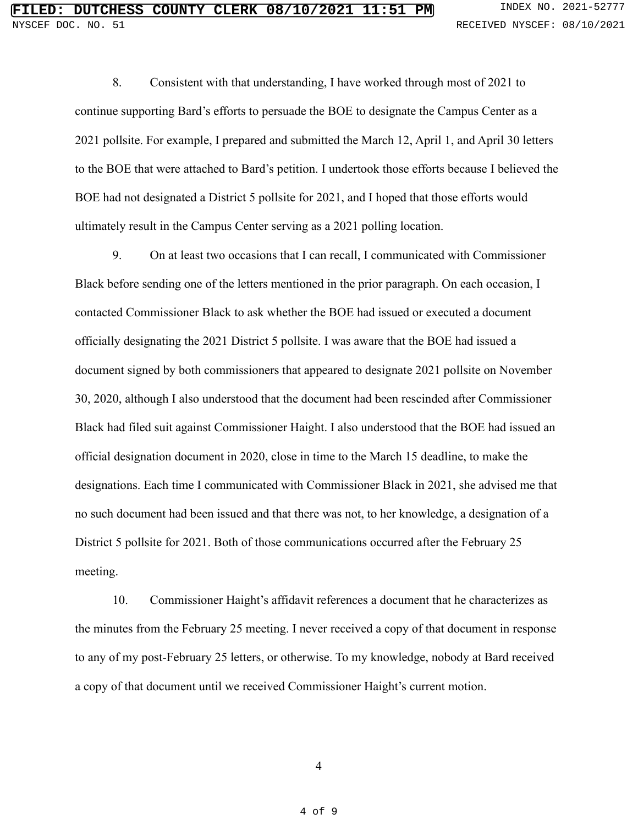8. Consistent with that understanding, I have worked through most of 2021 to continue supporting Bard's efforts to persuade the BOE to designate the Campus Center as a 2021 pollsite. For example, I prepared and submitted the March 12, April 1, and April 30 letters to the BOE that were attached to Bard's petition. I undertook those efforts because I believed the BOE had not designated a District 5 pollsite for 2021, and I hoped that those efforts would ultimately result in the Campus Center serving as a 2021 polling location.

9. On at least two occasions that I can recall, I communicated with Commissioner Black before sending one of the letters mentioned in the prior paragraph. On each occasion, I contacted Commissioner Black to ask whether the BOE had issued or executed a document officially designating the 2021 District 5 pollsite. I was aware that the BOE had issued a document signed by both commissioners that appeared to designate 2021 pollsite on November 30, 2020, although I also understood that the document had been rescinded after Commissioner Black had filed suit against Commissioner Haight. I also understood that the BOE had issued an official designation document in 2020, close in time to the March 15 deadline, to make the designations. Each time I communicated with Commissioner Black in 2021, she advised me that no such document had been issued and that there was not, to her knowledge, a designation of a District 5 pollsite for 2021. Both of those communications occurred after the February 25 meeting.

10. Commissioner Haight's affidavit references a document that he characterizes as the minutes from the February 25 meeting. I never received a copy of that document in response to any of my post-February 25 letters, or otherwise. To my knowledge, nobody at Bard received a copy of that document until we received Commissioner Haight's current motion.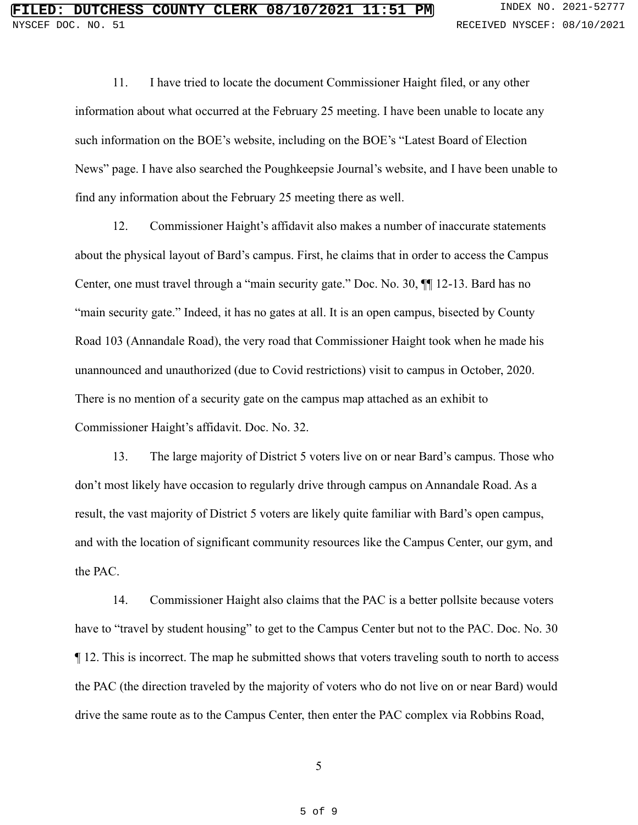11. I have tried to locate the document Commissioner Haight filed, or any other information about what occurred at the February 25 meeting. I have been unable to locate any such information on the BOE's website, including on the BOE's "Latest Board of Election News" page. I have also searched the Poughkeepsie Journal's website, and I have been unable to find any information about the February 25 meeting there as well.

12. Commissioner Haight's affidavit also makes a number of inaccurate statements about the physical layout of Bard's campus. First, he claims that in order to access the Campus Center, one must travel through a "main security gate." Doc. No. 30, ¶¶ 12-13. Bard has no "main security gate." Indeed, it has no gates at all. It is an open campus, bisected by County Road 103 (Annandale Road), the very road that Commissioner Haight took when he made his unannounced and unauthorized (due to Covid restrictions) visit to campus in October, 2020. There is no mention of a security gate on the campus map attached as an exhibit to Commissioner Haight's affidavit. Doc. No. 32.

13. The large majority of District 5 voters live on or near Bard's campus. Those who don't most likely have occasion to regularly drive through campus on Annandale Road. As a result, the vast majority of District 5 voters are likely quite familiar with Bard's open campus, and with the location of significant community resources like the Campus Center, our gym, and the PAC.

14. Commissioner Haight also claims that the PAC is a better pollsite because voters have to "travel by student housing" to get to the Campus Center but not to the PAC. Doc. No. 30 ¶ 12. This is incorrect. The map he submitted shows that voters traveling south to north to access the PAC (the direction traveled by the majority of voters who do not live on or near Bard) would drive the same route as to the Campus Center, then enter the PAC complex via Robbins Road,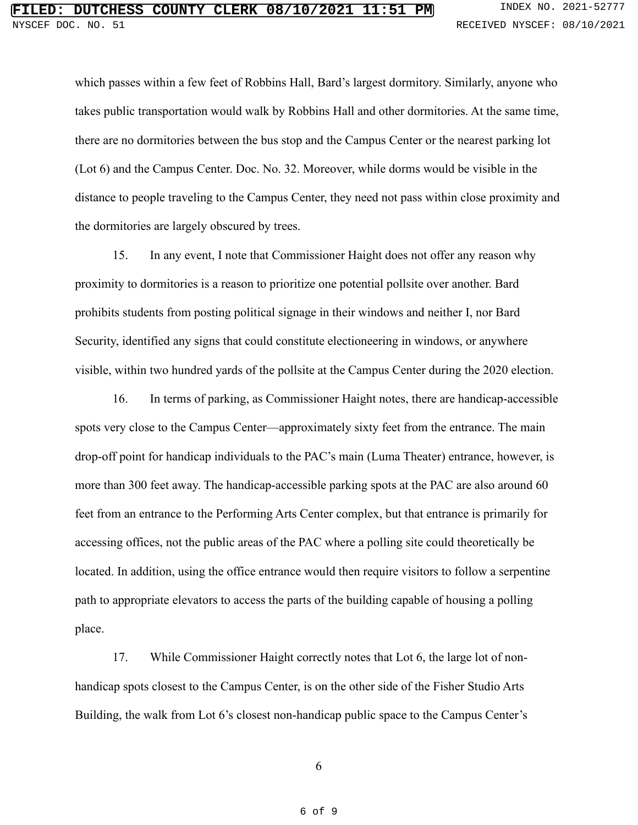which passes within a few feet of Robbins Hall, Bard's largest dormitory. Similarly, anyone who takes public transportation would walk by Robbins Hall and other dormitories. At the same time, there are no dormitories between the bus stop and the Campus Center or the nearest parking lot (Lot 6) and the Campus Center. Doc. No. 32. Moreover, while dorms would be visible in the distance to people traveling to the Campus Center, they need not pass within close proximity and the dormitories are largely obscured by trees.

15. In any event, I note that Commissioner Haight does not offer any reason why proximity to dormitories is a reason to prioritize one potential pollsite over another. Bard prohibits students from posting political signage in their windows and neither I, nor Bard Security, identified any signs that could constitute electioneering in windows, or anywhere visible, within two hundred yards of the pollsite at the Campus Center during the 2020 election.

16. In terms of parking, as Commissioner Haight notes, there are handicap-accessible spots very close to the Campus Center—approximately sixty feet from the entrance. The main drop-off point for handicap individuals to the PAC's main (Luma Theater) entrance, however, is more than 300 feet away. The handicap-accessible parking spots at the PAC are also around 60 feet from an entrance to the Performing Arts Center complex, but that entrance is primarily for accessing offices, not the public areas of the PAC where a polling site could theoretically be located. In addition, using the office entrance would then require visitors to follow a serpentine path to appropriate elevators to access the parts of the building capable of housing a polling place.

17. While Commissioner Haight correctly notes that Lot 6, the large lot of nonhandicap spots closest to the Campus Center, is on the other side of the Fisher Studio Arts Building, the walk from Lot 6's closest non-handicap public space to the Campus Center's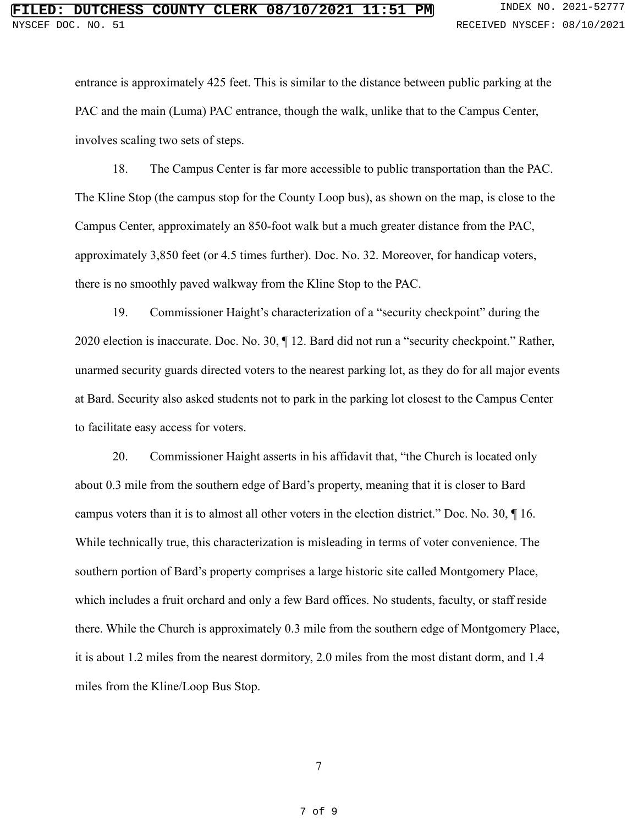entrance is approximately 425 feet. This is similar to the distance between public parking at the PAC and the main (Luma) PAC entrance, though the walk, unlike that to the Campus Center, involves scaling two sets of steps.

18. The Campus Center is far more accessible to public transportation than the PAC. The Kline Stop (the campus stop for the County Loop bus), as shown on the map, is close to the Campus Center, approximately an 850-foot walk but a much greater distance from the PAC, approximately 3,850 feet (or 4.5 times further). Doc. No. 32. Moreover, for handicap voters, there is no smoothly paved walkway from the Kline Stop to the PAC.

19. Commissioner Haight's characterization of a "security checkpoint" during the 2020 election is inaccurate. Doc. No. 30, ¶ 12. Bard did not run a "security checkpoint." Rather, unarmed security guards directed voters to the nearest parking lot, as they do for all major events at Bard. Security also asked students not to park in the parking lot closest to the Campus Center to facilitate easy access for voters.

20. Commissioner Haight asserts in his affidavit that, "the Church is located only about 0.3 mile from the southern edge of Bard's property, meaning that it is closer to Bard campus voters than it is to almost all other voters in the election district." Doc. No. 30, ¶ 16. While technically true, this characterization is misleading in terms of voter convenience. The southern portion of Bard's property comprises a large historic site called Montgomery Place, which includes a fruit orchard and only a few Bard offices. No students, faculty, or staff reside there. While the Church is approximately 0.3 mile from the southern edge of Montgomery Place, it is about 1.2 miles from the nearest dormitory, 2.0 miles from the most distant dorm, and 1.4 miles from the Kline/Loop Bus Stop.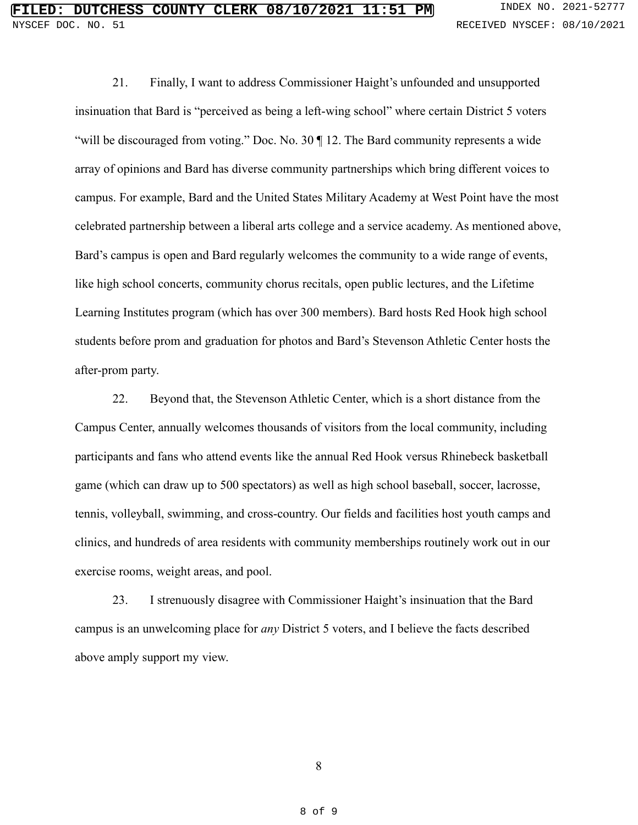21. Finally, I want to address Commissioner Haight's unfounded and unsupported insinuation that Bard is "perceived as being a left-wing school" where certain District 5 voters "will be discouraged from voting." Doc. No. 30 || 12. The Bard community represents a wide array of opinions and Bard has diverse community partnerships which bring different voices to campus. For example, Bard and the United States Military Academy at West Point have the most celebrated partnership between a liberal arts college and a service academy. As mentioned above, Bard's campus is open and Bard regularly welcomes the community to a wide range of events, like high school concerts, community chorus recitals, open public lectures, and the Lifetime Learning Institutes program (which has over 300 members). Bard hosts Red Hook high school students before prom and graduation for photos and Bard's Stevenson Athletic Center hosts the after-prom party.

22. Beyond that, the Stevenson Athletic Center, which is a short distance from the Campus Center, annually welcomes thousands of visitors from the local community, including participants and fans who attend events like the annual Red Hook versus Rhinebeck basketball game (which can draw up to 500 spectators) as well as high school baseball, soccer, lacrosse, tennis, volleyball, swimming, and cross-country. Our fields and facilities host youth camps and clinics, and hundreds of area residents with community memberships routinely work out in our exercise rooms, weight areas, and pool.

23. I strenuously disagree with Commissioner Haight's insinuation that the Bard campus is an unwelcoming place for *any* District 5 voters, and I believe the facts described above amply support my view.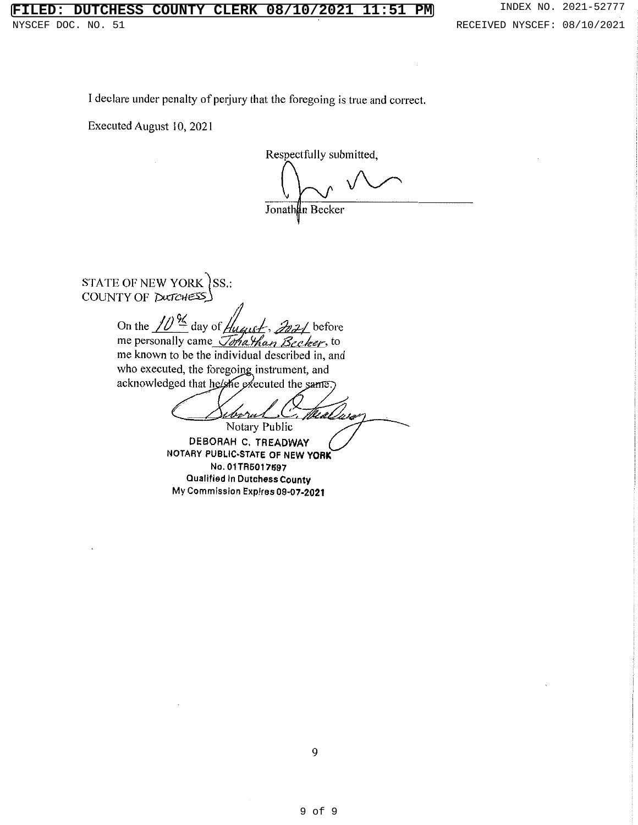# **FILT COUNTY CLERK 08/10/2021 11:51 PM** INDEX NO. 2021-52777

I declare under penalty of perjury that the foregoing is true and correct.

Executed August 10, 2021

Respectfully submitted,

Jonathan Becker

STATE OF NEW YORK SS.: COUNTY OF DUTCHESS

> On the  $\frac{1}{\sqrt{2}}\frac{9}{4}$  day of  $\frac{1}{4}$  $\mathcal{Z}_2$  before me personally came Jonathan Becker, to me known to be the individual described in, and who executed, the foregoing instrument, and acknowledged that he/she executed the same.)

<u>i borur</u> mes Notary Public

DEBORAH C. TREADWAY NOTARY PUBLIC-STATE OF NEW YORK No. 01TR5017597 Qualified in Dutchess County My Commission Expires 09-07-2021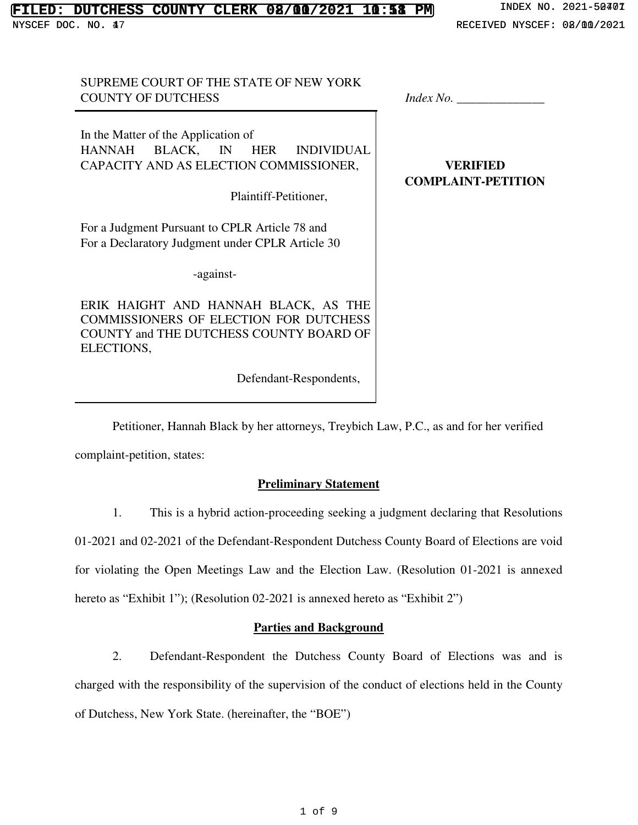# **FILED: DUTCHESS COUNTY CLERK 08/00/2021 10:58 PM** INDEX NO. 2021-50401<br>NYSCEF DOC. NO. 47<br>RECEIVED NYSCEF: 08/00/2021 NYSCEF DOC. NO. 47 <br>
NECEIVED NYSCEF: 08/00/2021

## SUPREME COURT OF THE STATE OF NEW YORK COUNTY OF DUTCHESS *Index No.* \_\_\_\_\_\_\_\_\_\_\_\_\_\_

In the Matter of the Application of HANNAH BLACK, IN HER INDIVIDUAL CAPACITY AND AS ELECTION COMMISSIONER,

Plaintiff-Petitioner,

For a Judgment Pursuant to CPLR Article 78 and For a Declaratory Judgment under CPLR Article 30

-against-

ERIK HAIGHT AND HANNAH BLACK, AS THE COMMISSIONERS OF ELECTION FOR DUTCHESS COUNTY and THE DUTCHESS COUNTY BOARD OF ELECTIONS,

Defendant-Respondents,

**VERIFIED COMPLAINT-PETITION**

Petitioner, Hannah Black by her attorneys, Treybich Law, P.C., as and for her verified

complaint-petition, states:

# **Preliminary Statement**

1. This is a hybrid action-proceeding seeking a judgment declaring that Resolutions

01-2021 and 02-2021 of the Defendant-Respondent Dutchess County Board of Elections are void

for violating the Open Meetings Law and the Election Law. (Resolution 01-2021 is annexed

hereto as "Exhibit 1"); (Resolution 02-2021 is annexed hereto as "Exhibit 2")

# **Parties and Background**

2. Defendant-Respondent the Dutchess County Board of Elections was and is charged with the responsibility of the supervision of the conduct of elections held in the County of Dutchess, New York State. (hereinafter, the "BOE")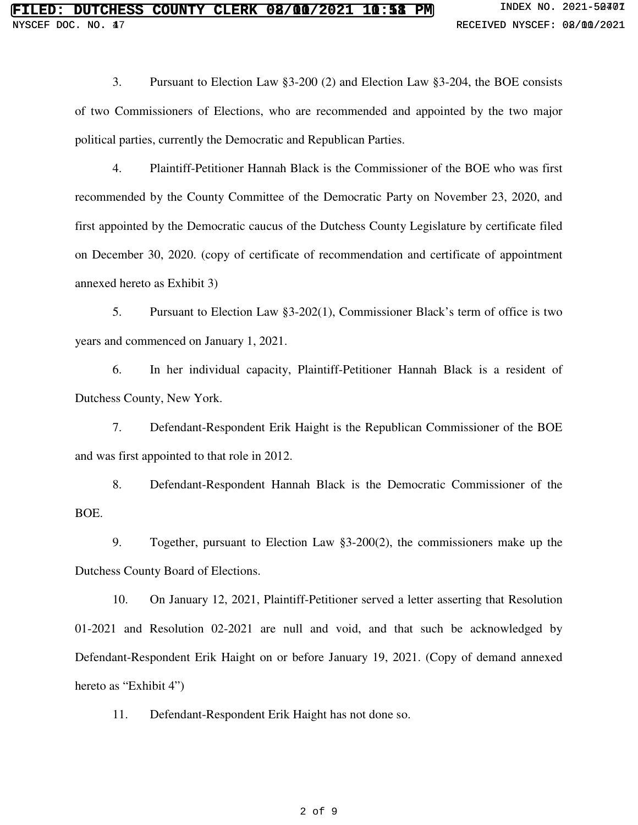3. Pursuant to Election Law §3-200 (2) and Election Law §3-204, the BOE consists of two Commissioners of Elections, who are recommended and appointed by the two major political parties, currently the Democratic and Republican Parties.

4. Plaintiff-Petitioner Hannah Black is the Commissioner of the BOE who was first recommended by the County Committee of the Democratic Party on November 23, 2020, and first appointed by the Democratic caucus of the Dutchess County Legislature by certificate filed on December 30, 2020. (copy of certificate of recommendation and certificate of appointment annexed hereto as Exhibit 3)

5. Pursuant to Election Law §3-202(1), Commissioner Black's term of office is two years and commenced on January 1, 2021.

6. In her individual capacity, Plaintiff-Petitioner Hannah Black is a resident of Dutchess County, New York.

7. Defendant-Respondent Erik Haight is the Republican Commissioner of the BOE and was first appointed to that role in 2012.

8. Defendant-Respondent Hannah Black is the Democratic Commissioner of the BOE.

9. Together, pursuant to Election Law §3-200(2), the commissioners make up the Dutchess County Board of Elections.

10. On January 12, 2021, Plaintiff-Petitioner served a letter asserting that Resolution 01-2021 and Resolution 02-2021 are null and void, and that such be acknowledged by Defendant-Respondent Erik Haight on or before January 19, 2021. (Copy of demand annexed hereto as "Exhibit 4")

11. Defendant-Respondent Erik Haight has not done so.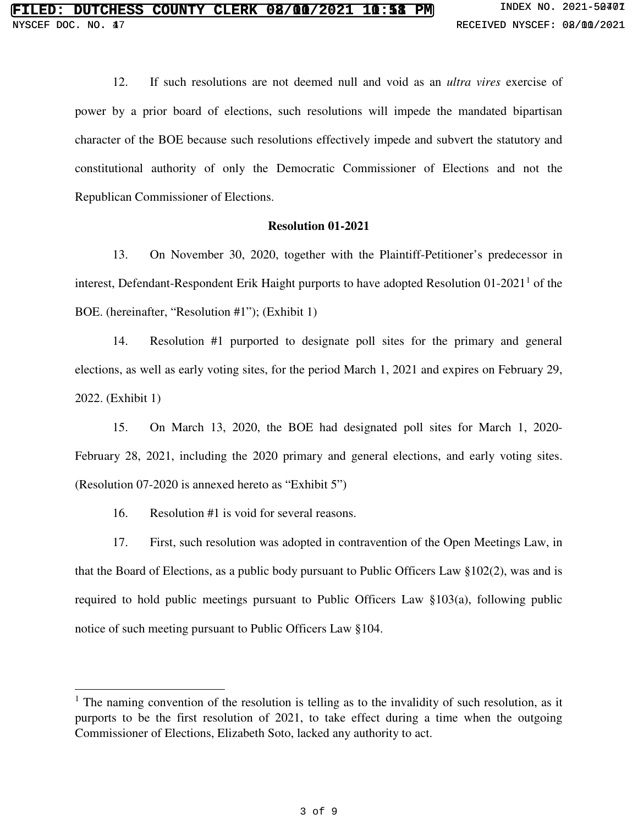12. If such resolutions are not deemed null and void as an *ultra vires* exercise of power by a prior board of elections, such resolutions will impede the mandated bipartisan character of the BOE because such resolutions effectively impede and subvert the statutory and constitutional authority of only the Democratic Commissioner of Elections and not the Republican Commissioner of Elections.

### **Resolution 01-2021**

13. On November 30, 2020, together with the Plaintiff-Petitioner's predecessor in interest, Defendant-Respondent Erik Haight purports to have adopted Resolution  $01-2021<sup>1</sup>$  of the BOE. (hereinafter, "Resolution #1"); (Exhibit 1)

14. Resolution #1 purported to designate poll sites for the primary and general elections, as well as early voting sites, for the period March 1, 2021 and expires on February 29, 2022. (Exhibit 1)

15. On March 13, 2020, the BOE had designated poll sites for March 1, 2020- February 28, 2021, including the 2020 primary and general elections, and early voting sites. (Resolution 07-2020 is annexed hereto as "Exhibit 5")

16. Resolution #1 is void for several reasons.

 $\overline{a}$ 

17. First, such resolution was adopted in contravention of the Open Meetings Law, in that the Board of Elections, as a public body pursuant to Public Officers Law  $\S 102(2)$ , was and is required to hold public meetings pursuant to Public Officers Law §103(a), following public notice of such meeting pursuant to Public Officers Law §104.

<sup>&</sup>lt;sup>1</sup> The naming convention of the resolution is telling as to the invalidity of such resolution, as it purports to be the first resolution of 2021, to take effect during a time when the outgoing Commissioner of Elections, Elizabeth Soto, lacked any authority to act.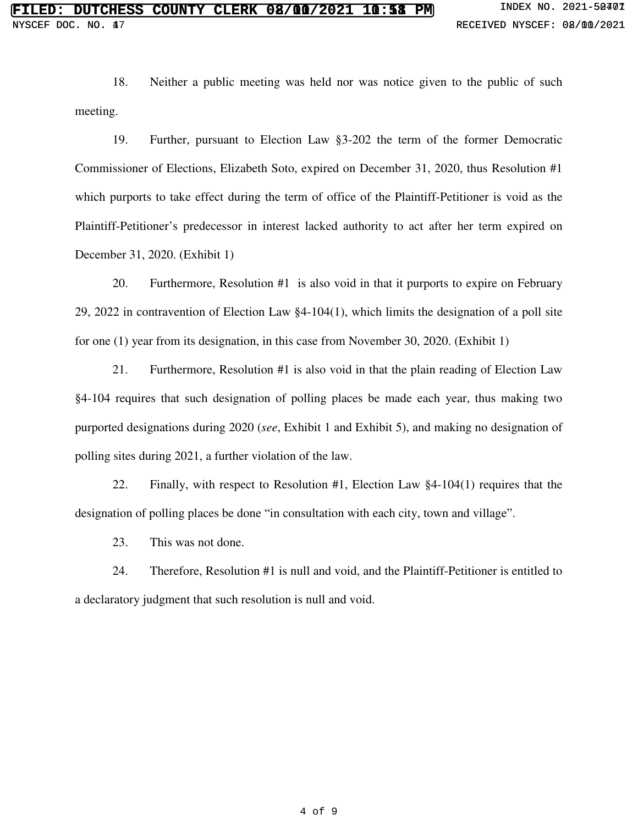18. Neither a public meeting was held nor was notice given to the public of such meeting.

19. Further, pursuant to Election Law §3-202 the term of the former Democratic Commissioner of Elections, Elizabeth Soto, expired on December 31, 2020, thus Resolution #1 which purports to take effect during the term of office of the Plaintiff-Petitioner is void as the Plaintiff-Petitioner's predecessor in interest lacked authority to act after her term expired on December 31, 2020. (Exhibit 1)

20. Furthermore, Resolution #1 is also void in that it purports to expire on February 29, 2022 in contravention of Election Law §4-104(1), which limits the designation of a poll site for one (1) year from its designation, in this case from November 30, 2020. (Exhibit 1)

21. Furthermore, Resolution #1 is also void in that the plain reading of Election Law §4-104 requires that such designation of polling places be made each year, thus making two purported designations during 2020 (*see*, Exhibit 1 and Exhibit 5), and making no designation of polling sites during 2021, a further violation of the law.

22. Finally, with respect to Resolution #1, Election Law §4-104(1) requires that the designation of polling places be done "in consultation with each city, town and village".

23. This was not done.

24. Therefore, Resolution #1 is null and void, and the Plaintiff-Petitioner is entitled to a declaratory judgment that such resolution is null and void.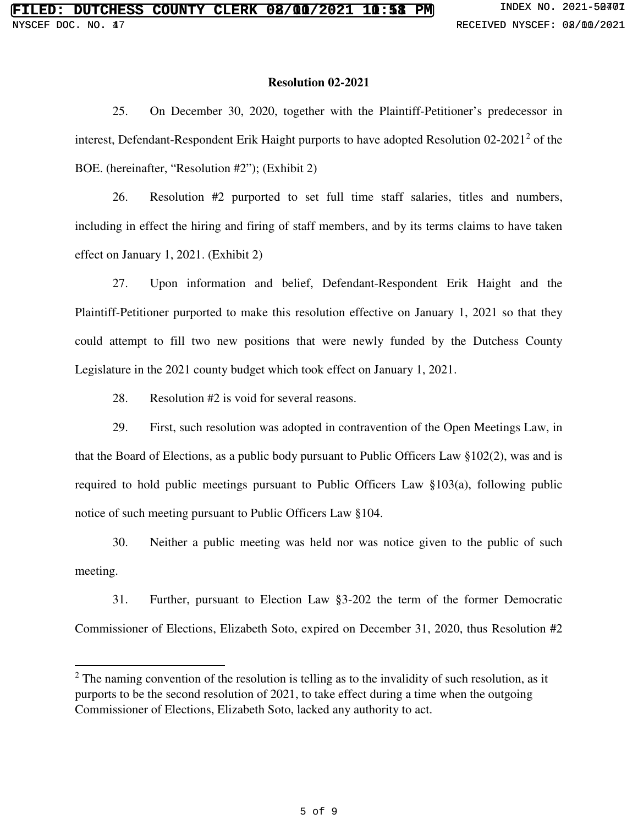#### **Resolution 02-2021**

25. On December 30, 2020, together with the Plaintiff-Petitioner's predecessor in interest, Defendant-Respondent Erik Haight purports to have adopted Resolution  $02-2021^2$  of the BOE. (hereinafter, "Resolution #2"); (Exhibit 2)

26. Resolution #2 purported to set full time staff salaries, titles and numbers, including in effect the hiring and firing of staff members, and by its terms claims to have taken effect on January 1, 2021. (Exhibit 2)

27. Upon information and belief, Defendant-Respondent Erik Haight and the Plaintiff-Petitioner purported to make this resolution effective on January 1, 2021 so that they could attempt to fill two new positions that were newly funded by the Dutchess County Legislature in the 2021 county budget which took effect on January 1, 2021.

28. Resolution #2 is void for several reasons.

 $\overline{a}$ 

29. First, such resolution was adopted in contravention of the Open Meetings Law, in that the Board of Elections, as a public body pursuant to Public Officers Law §102(2), was and is required to hold public meetings pursuant to Public Officers Law §103(a), following public notice of such meeting pursuant to Public Officers Law §104.

30. Neither a public meeting was held nor was notice given to the public of such meeting.

31. Further, pursuant to Election Law §3-202 the term of the former Democratic Commissioner of Elections, Elizabeth Soto, expired on December 31, 2020, thus Resolution #2

 $2<sup>2</sup>$  The naming convention of the resolution is telling as to the invalidity of such resolution, as it purports to be the second resolution of 2021, to take effect during a time when the outgoing Commissioner of Elections, Elizabeth Soto, lacked any authority to act.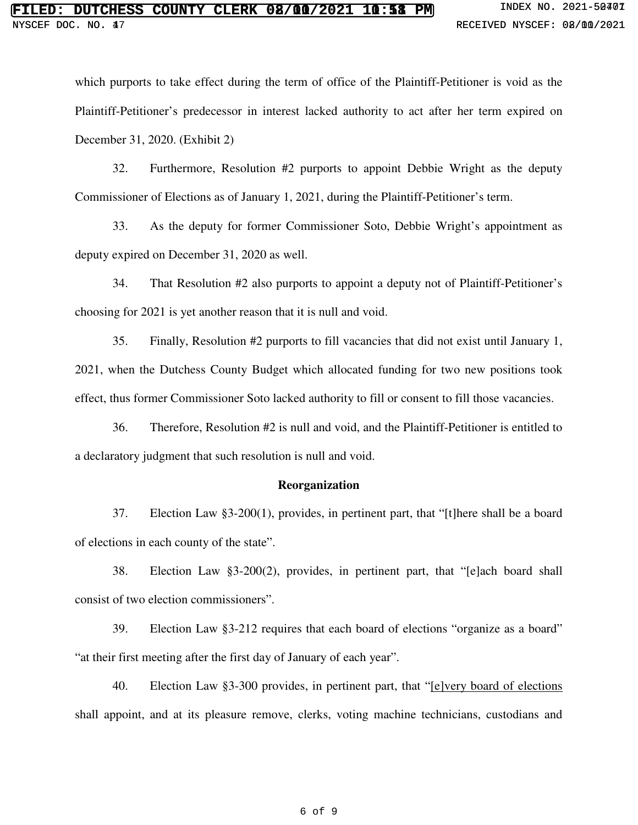which purports to take effect during the term of office of the Plaintiff-Petitioner is void as the Plaintiff-Petitioner's predecessor in interest lacked authority to act after her term expired on December 31, 2020. (Exhibit 2)

32. Furthermore, Resolution #2 purports to appoint Debbie Wright as the deputy Commissioner of Elections as of January 1, 2021, during the Plaintiff-Petitioner's term.

33. As the deputy for former Commissioner Soto, Debbie Wright's appointment as deputy expired on December 31, 2020 as well.

34. That Resolution #2 also purports to appoint a deputy not of Plaintiff-Petitioner's choosing for 2021 is yet another reason that it is null and void.

35. Finally, Resolution #2 purports to fill vacancies that did not exist until January 1, 2021, when the Dutchess County Budget which allocated funding for two new positions took effect, thus former Commissioner Soto lacked authority to fill or consent to fill those vacancies.

36. Therefore, Resolution #2 is null and void, and the Plaintiff-Petitioner is entitled to a declaratory judgment that such resolution is null and void.

### **Reorganization**

37. Election Law §3-200(1), provides, in pertinent part, that "[t]here shall be a board of elections in each county of the state".

38. Election Law §3-200(2), provides, in pertinent part, that "[e]ach board shall consist of two election commissioners".

39. Election Law §3-212 requires that each board of elections "organize as a board" "at their first meeting after the first day of January of each year".

40. Election Law §3-300 provides, in pertinent part, that "[e]very board of elections shall appoint, and at its pleasure remove, clerks, voting machine technicians, custodians and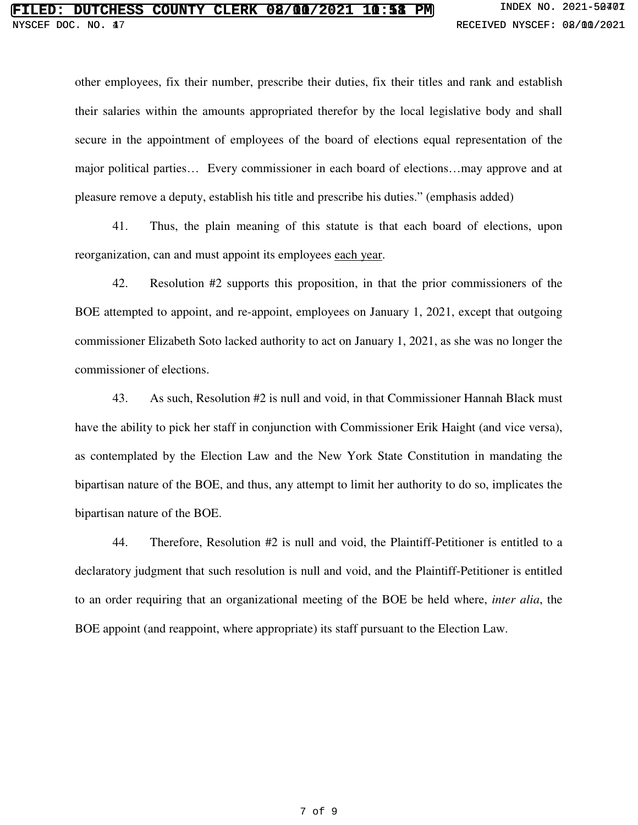# **FCHESS COUNTY CLERK 02/00/2021 10:58 PM** INDEX NO. 2021-50401 **FILED: DUTCHESS COUNTY CLERK 08/00/2021 10:58 PM** INDEX NO. 2021-50401<br>NYSCEF DOC. NO. 47<br>RECEIVED NYSCEF: 08/00/2021

other employees, fix their number, prescribe their duties, fix their titles and rank and establish their salaries within the amounts appropriated therefor by the local legislative body and shall secure in the appointment of employees of the board of elections equal representation of the major political parties… Every commissioner in each board of elections…may approve and at pleasure remove a deputy, establish his title and prescribe his duties." (emphasis added)

41. Thus, the plain meaning of this statute is that each board of elections, upon reorganization, can and must appoint its employees each year.

42. Resolution #2 supports this proposition, in that the prior commissioners of the BOE attempted to appoint, and re-appoint, employees on January 1, 2021, except that outgoing commissioner Elizabeth Soto lacked authority to act on January 1, 2021, as she was no longer the commissioner of elections.

43. As such, Resolution #2 is null and void, in that Commissioner Hannah Black must have the ability to pick her staff in conjunction with Commissioner Erik Haight (and vice versa), as contemplated by the Election Law and the New York State Constitution in mandating the bipartisan nature of the BOE, and thus, any attempt to limit her authority to do so, implicates the bipartisan nature of the BOE.

44. Therefore, Resolution #2 is null and void, the Plaintiff-Petitioner is entitled to a declaratory judgment that such resolution is null and void, and the Plaintiff-Petitioner is entitled to an order requiring that an organizational meeting of the BOE be held where, *inter alia*, the BOE appoint (and reappoint, where appropriate) its staff pursuant to the Election Law.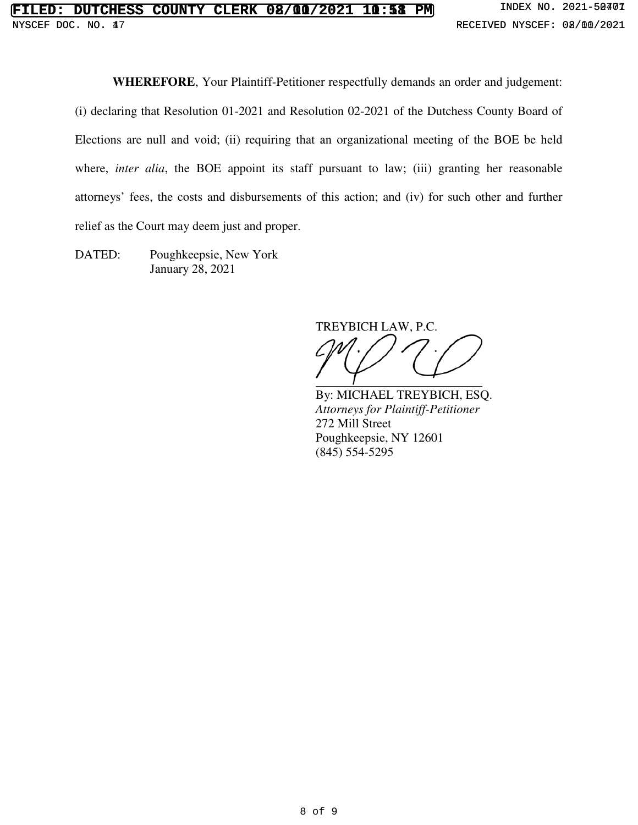**WHEREFORE**, Your Plaintiff-Petitioner respectfully demands an order and judgement:

(i) declaring that Resolution 01-2021 and Resolution 02-2021 of the Dutchess County Board of Elections are null and void; (ii) requiring that an organizational meeting of the BOE be held where, *inter alia*, the BOE appoint its staff pursuant to law; (iii) granting her reasonable attorneys' fees, the costs and disbursements of this action; and (iv) for such other and further relief as the Court may deem just and proper.

DATED: Poughkeepsie, New York January 28, 2021

TREYBICH LAW, P.C.

By: MICHAEL TREYBICH, ESQ. *Attorneys for Plaintiff-Petitioner* 272 Mill Street Poughkeepsie, NY 12601 (845) 554-5295